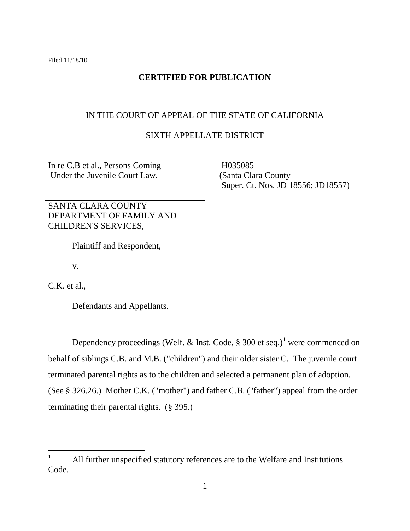Filed 11/18/10

# **CERTIFIED FOR PUBLICATION**

# IN THE COURT OF APPEAL OF THE STATE OF CALIFORNIA

# SIXTH APPELLATE DISTRICT

In re C.B et al., Persons Coming Under the Juvenile Court Law.

SANTA CLARA COUNTY DEPARTMENT OF FAMILY AND CHILDREN'S SERVICES,

Plaintiff and Respondent,

v.

C.K. et al.,

Defendants and Appellants.

 H035085 (Santa Clara County Super. Ct. Nos. JD 18556; JD18557)

Dependency proceedings (Welf. & Inst. Code,  $\S$  300 et seq.)<sup>1</sup> were commenced on behalf of siblings C.B. and M.B. ("children") and their older sister C. The juvenile court terminated parental rights as to the children and selected a permanent plan of adoption. (See § 326.26.) Mother C.K. ("mother") and father C.B. ("father") appeal from the order terminating their parental rights. (§ 395.)

 $\mathbf{1}$ <sup>1</sup> All further unspecified statutory references are to the Welfare and Institutions Code.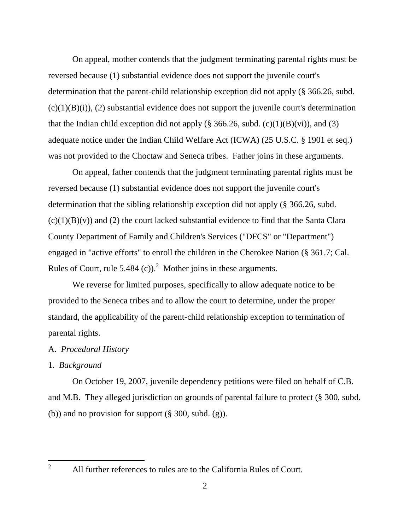On appeal, mother contends that the judgment terminating parental rights must be reversed because (1) substantial evidence does not support the juvenile court's determination that the parent-child relationship exception did not apply (§ 366.26, subd.  $(c)(1)(B)(i)$ ,  $(2)$  substantial evidence does not support the juvenile court's determination that the Indian child exception did not apply ( $\S$  366.26, subd. (c)(1)(B)(vi)), and (3) adequate notice under the Indian Child Welfare Act (ICWA) (25 U.S.C. § 1901 et seq.) was not provided to the Choctaw and Seneca tribes. Father joins in these arguments.

On appeal, father contends that the judgment terminating parental rights must be reversed because (1) substantial evidence does not support the juvenile court's determination that the sibling relationship exception did not apply (§ 366.26, subd.  $(c)(1)(B)(v)$  and (2) the court lacked substantial evidence to find that the Santa Clara County Department of Family and Children's Services ("DFCS" or "Department") engaged in "active efforts" to enroll the children in the Cherokee Nation (§ 361.7; Cal. Rules of Court, rule 5.484 (c)).<sup>2</sup> Mother joins in these arguments.

We reverse for limited purposes, specifically to allow adequate notice to be provided to the Seneca tribes and to allow the court to determine, under the proper standard, the applicability of the parent-child relationship exception to termination of parental rights.

#### A. *Procedural History*

# 1. *Background*

On October 19, 2007, juvenile dependency petitions were filed on behalf of C.B. and M.B. They alleged jurisdiction on grounds of parental failure to protect (§ 300, subd. (b)) and no provision for support  $(\S 300, \text{subd. (g)})$ .

 $\mathfrak{D}$ 

<sup>2</sup> All further references to rules are to the California Rules of Court.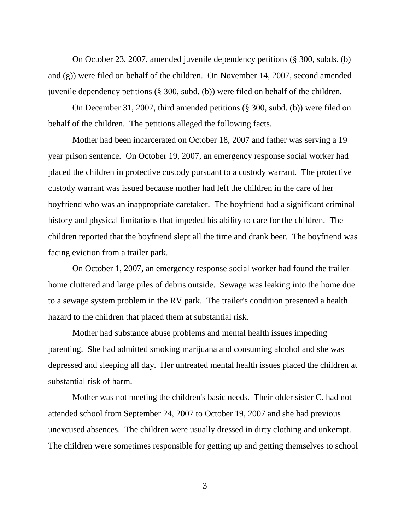On October 23, 2007, amended juvenile dependency petitions (§ 300, subds. (b) and (g)) were filed on behalf of the children. On November 14, 2007, second amended juvenile dependency petitions (§ 300, subd. (b)) were filed on behalf of the children.

On December 31, 2007, third amended petitions (§ 300, subd. (b)) were filed on behalf of the children. The petitions alleged the following facts.

Mother had been incarcerated on October 18, 2007 and father was serving a 19 year prison sentence. On October 19, 2007, an emergency response social worker had placed the children in protective custody pursuant to a custody warrant. The protective custody warrant was issued because mother had left the children in the care of her boyfriend who was an inappropriate caretaker. The boyfriend had a significant criminal history and physical limitations that impeded his ability to care for the children. The children reported that the boyfriend slept all the time and drank beer. The boyfriend was facing eviction from a trailer park.

On October 1, 2007, an emergency response social worker had found the trailer home cluttered and large piles of debris outside. Sewage was leaking into the home due to a sewage system problem in the RV park. The trailer's condition presented a health hazard to the children that placed them at substantial risk.

Mother had substance abuse problems and mental health issues impeding parenting. She had admitted smoking marijuana and consuming alcohol and she was depressed and sleeping all day. Her untreated mental health issues placed the children at substantial risk of harm.

Mother was not meeting the children's basic needs. Their older sister C. had not attended school from September 24, 2007 to October 19, 2007 and she had previous unexcused absences. The children were usually dressed in dirty clothing and unkempt. The children were sometimes responsible for getting up and getting themselves to school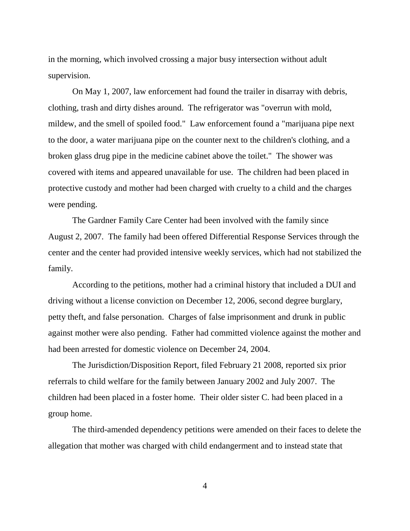in the morning, which involved crossing a major busy intersection without adult supervision.

On May 1, 2007, law enforcement had found the trailer in disarray with debris, clothing, trash and dirty dishes around. The refrigerator was "overrun with mold, mildew, and the smell of spoiled food." Law enforcement found a "marijuana pipe next to the door, a water marijuana pipe on the counter next to the children's clothing, and a broken glass drug pipe in the medicine cabinet above the toilet." The shower was covered with items and appeared unavailable for use. The children had been placed in protective custody and mother had been charged with cruelty to a child and the charges were pending.

The Gardner Family Care Center had been involved with the family since August 2, 2007. The family had been offered Differential Response Services through the center and the center had provided intensive weekly services, which had not stabilized the family.

According to the petitions, mother had a criminal history that included a DUI and driving without a license conviction on December 12, 2006, second degree burglary, petty theft, and false personation. Charges of false imprisonment and drunk in public against mother were also pending. Father had committed violence against the mother and had been arrested for domestic violence on December 24, 2004.

The Jurisdiction/Disposition Report, filed February 21 2008, reported six prior referrals to child welfare for the family between January 2002 and July 2007. The children had been placed in a foster home. Their older sister C. had been placed in a group home.

The third-amended dependency petitions were amended on their faces to delete the allegation that mother was charged with child endangerment and to instead state that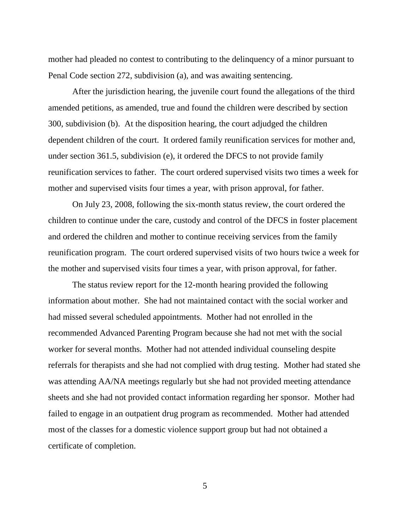mother had pleaded no contest to contributing to the delinquency of a minor pursuant to Penal Code section 272, subdivision (a), and was awaiting sentencing.

After the jurisdiction hearing, the juvenile court found the allegations of the third amended petitions, as amended, true and found the children were described by section 300, subdivision (b). At the disposition hearing, the court adjudged the children dependent children of the court. It ordered family reunification services for mother and, under section 361.5, subdivision (e), it ordered the DFCS to not provide family reunification services to father. The court ordered supervised visits two times a week for mother and supervised visits four times a year, with prison approval, for father.

On July 23, 2008, following the six-month status review, the court ordered the children to continue under the care, custody and control of the DFCS in foster placement and ordered the children and mother to continue receiving services from the family reunification program. The court ordered supervised visits of two hours twice a week for the mother and supervised visits four times a year, with prison approval, for father.

The status review report for the 12-month hearing provided the following information about mother. She had not maintained contact with the social worker and had missed several scheduled appointments. Mother had not enrolled in the recommended Advanced Parenting Program because she had not met with the social worker for several months. Mother had not attended individual counseling despite referrals for therapists and she had not complied with drug testing. Mother had stated she was attending AA/NA meetings regularly but she had not provided meeting attendance sheets and she had not provided contact information regarding her sponsor. Mother had failed to engage in an outpatient drug program as recommended. Mother had attended most of the classes for a domestic violence support group but had not obtained a certificate of completion.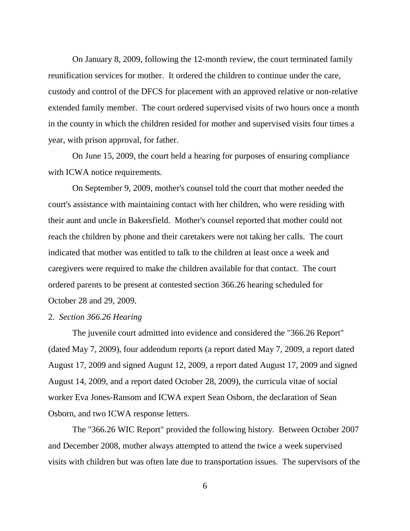On January 8, 2009, following the 12-month review, the court terminated family reunification services for mother. It ordered the children to continue under the care, custody and control of the DFCS for placement with an approved relative or non-relative extended family member. The court ordered supervised visits of two hours once a month in the county in which the children resided for mother and supervised visits four times a year, with prison approval, for father.

On June 15, 2009, the court held a hearing for purposes of ensuring compliance with ICWA notice requirements.

On September 9, 2009, mother's counsel told the court that mother needed the court's assistance with maintaining contact with her children, who were residing with their aunt and uncle in Bakersfield. Mother's counsel reported that mother could not reach the children by phone and their caretakers were not taking her calls. The court indicated that mother was entitled to talk to the children at least once a week and caregivers were required to make the children available for that contact. The court ordered parents to be present at contested section 366.26 hearing scheduled for October 28 and 29, 2009.

#### 2. *Section 366.26 Hearing*

The juvenile court admitted into evidence and considered the "366.26 Report" (dated May 7, 2009), four addendum reports (a report dated May 7, 2009, a report dated August 17, 2009 and signed August 12, 2009, a report dated August 17, 2009 and signed August 14, 2009, and a report dated October 28, 2009), the curricula vitae of social worker Eva Jones-Ransom and ICWA expert Sean Osborn, the declaration of Sean Osborn, and two ICWA response letters.

The "366.26 WIC Report" provided the following history. Between October 2007 and December 2008, mother always attempted to attend the twice a week supervised visits with children but was often late due to transportation issues. The supervisors of the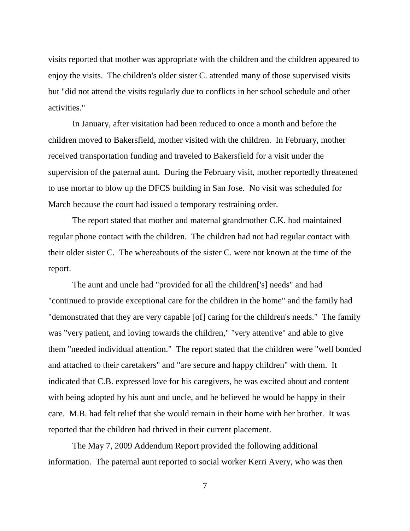visits reported that mother was appropriate with the children and the children appeared to enjoy the visits. The children's older sister C. attended many of those supervised visits but "did not attend the visits regularly due to conflicts in her school schedule and other activities."

In January, after visitation had been reduced to once a month and before the children moved to Bakersfield, mother visited with the children. In February, mother received transportation funding and traveled to Bakersfield for a visit under the supervision of the paternal aunt. During the February visit, mother reportedly threatened to use mortar to blow up the DFCS building in San Jose. No visit was scheduled for March because the court had issued a temporary restraining order.

The report stated that mother and maternal grandmother C.K. had maintained regular phone contact with the children. The children had not had regular contact with their older sister C. The whereabouts of the sister C. were not known at the time of the report.

The aunt and uncle had "provided for all the children['s] needs" and had "continued to provide exceptional care for the children in the home" and the family had "demonstrated that they are very capable [of] caring for the children's needs." The family was "very patient, and loving towards the children," "very attentive" and able to give them "needed individual attention." The report stated that the children were "well bonded and attached to their caretakers" and "are secure and happy children" with them. It indicated that C.B. expressed love for his caregivers, he was excited about and content with being adopted by his aunt and uncle, and he believed he would be happy in their care. M.B. had felt relief that she would remain in their home with her brother. It was reported that the children had thrived in their current placement.

The May 7, 2009 Addendum Report provided the following additional information. The paternal aunt reported to social worker Kerri Avery, who was then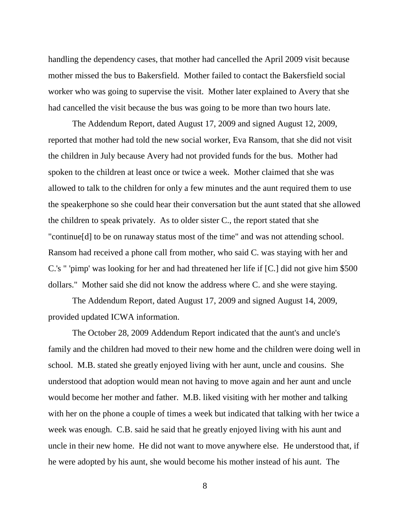handling the dependency cases, that mother had cancelled the April 2009 visit because mother missed the bus to Bakersfield. Mother failed to contact the Bakersfield social worker who was going to supervise the visit. Mother later explained to Avery that she had cancelled the visit because the bus was going to be more than two hours late.

The Addendum Report, dated August 17, 2009 and signed August 12, 2009, reported that mother had told the new social worker, Eva Ransom, that she did not visit the children in July because Avery had not provided funds for the bus. Mother had spoken to the children at least once or twice a week. Mother claimed that she was allowed to talk to the children for only a few minutes and the aunt required them to use the speakerphone so she could hear their conversation but the aunt stated that she allowed the children to speak privately. As to older sister C., the report stated that she "continue[d] to be on runaway status most of the time" and was not attending school. Ransom had received a phone call from mother, who said C. was staying with her and C.'s " 'pimp' was looking for her and had threatened her life if [C.] did not give him \$500 dollars." Mother said she did not know the address where C. and she were staying.

The Addendum Report, dated August 17, 2009 and signed August 14, 2009, provided updated ICWA information.

The October 28, 2009 Addendum Report indicated that the aunt's and uncle's family and the children had moved to their new home and the children were doing well in school. M.B. stated she greatly enjoyed living with her aunt, uncle and cousins. She understood that adoption would mean not having to move again and her aunt and uncle would become her mother and father. M.B. liked visiting with her mother and talking with her on the phone a couple of times a week but indicated that talking with her twice a week was enough. C.B. said he said that he greatly enjoyed living with his aunt and uncle in their new home. He did not want to move anywhere else. He understood that, if he were adopted by his aunt, she would become his mother instead of his aunt. The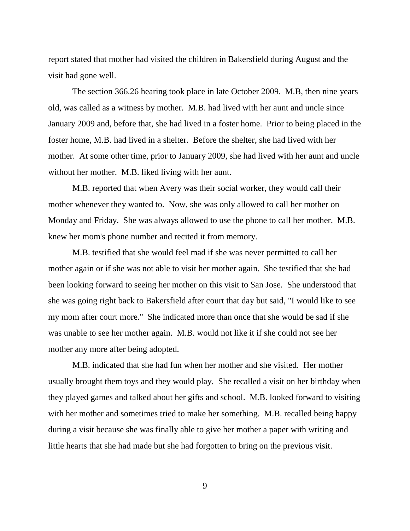report stated that mother had visited the children in Bakersfield during August and the visit had gone well.

The section 366.26 hearing took place in late October 2009. M.B, then nine years old, was called as a witness by mother. M.B. had lived with her aunt and uncle since January 2009 and, before that, she had lived in a foster home. Prior to being placed in the foster home, M.B. had lived in a shelter. Before the shelter, she had lived with her mother. At some other time, prior to January 2009, she had lived with her aunt and uncle without her mother. M.B. liked living with her aunt.

M.B. reported that when Avery was their social worker, they would call their mother whenever they wanted to. Now, she was only allowed to call her mother on Monday and Friday. She was always allowed to use the phone to call her mother. M.B. knew her mom's phone number and recited it from memory.

M.B. testified that she would feel mad if she was never permitted to call her mother again or if she was not able to visit her mother again. She testified that she had been looking forward to seeing her mother on this visit to San Jose. She understood that she was going right back to Bakersfield after court that day but said, "I would like to see my mom after court more." She indicated more than once that she would be sad if she was unable to see her mother again. M.B. would not like it if she could not see her mother any more after being adopted.

M.B. indicated that she had fun when her mother and she visited. Her mother usually brought them toys and they would play. She recalled a visit on her birthday when they played games and talked about her gifts and school. M.B. looked forward to visiting with her mother and sometimes tried to make her something. M.B. recalled being happy during a visit because she was finally able to give her mother a paper with writing and little hearts that she had made but she had forgotten to bring on the previous visit.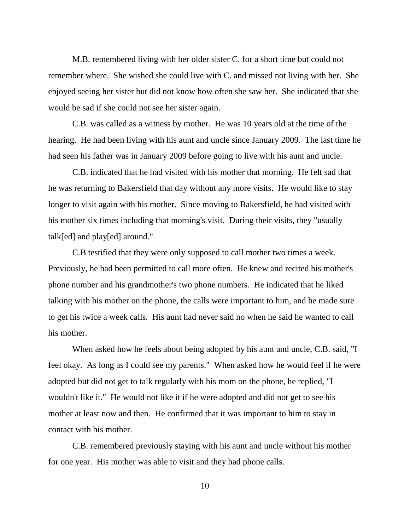M.B. remembered living with her older sister C. for a short time but could not remember where. She wished she could live with C. and missed not living with her. She enjoyed seeing her sister but did not know how often she saw her. She indicated that she would be sad if she could not see her sister again.

C.B. was called as a witness by mother. He was 10 years old at the time of the hearing. He had been living with his aunt and uncle since January 2009. The last time he had seen his father was in January 2009 before going to live with his aunt and uncle.

C.B. indicated that he had visited with his mother that morning. He felt sad that he was returning to Bakersfield that day without any more visits. He would like to stay longer to visit again with his mother. Since moving to Bakersfield, he had visited with his mother six times including that morning's visit. During their visits, they "usually talk[ed] and play[ed] around."

C.B testified that they were only supposed to call mother two times a week. Previously, he had been permitted to call more often. He knew and recited his mother's phone number and his grandmother's two phone numbers. He indicated that he liked talking with his mother on the phone, the calls were important to him, and he made sure to get his twice a week calls. His aunt had never said no when he said he wanted to call his mother.

When asked how he feels about being adopted by his aunt and uncle, C.B. said, "I feel okay. As long as I could see my parents." When asked how he would feel if he were adopted but did not get to talk regularly with his mom on the phone, he replied, "I wouldn't like it." He would not like it if he were adopted and did not get to see his mother at least now and then. He confirmed that it was important to him to stay in contact with his mother.

C.B. remembered previously staying with his aunt and uncle without his mother for one year. His mother was able to visit and they had phone calls.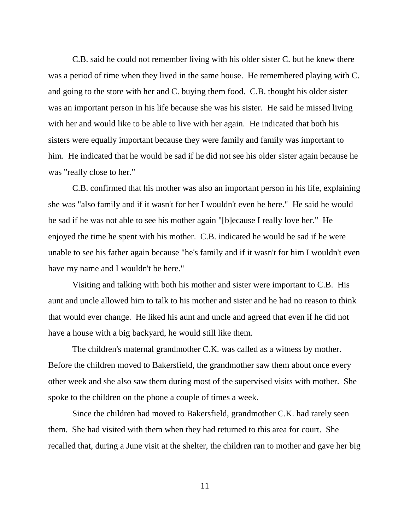C.B. said he could not remember living with his older sister C. but he knew there was a period of time when they lived in the same house. He remembered playing with C. and going to the store with her and C. buying them food. C.B. thought his older sister was an important person in his life because she was his sister. He said he missed living with her and would like to be able to live with her again. He indicated that both his sisters were equally important because they were family and family was important to him. He indicated that he would be sad if he did not see his older sister again because he was "really close to her."

C.B. confirmed that his mother was also an important person in his life, explaining she was "also family and if it wasn't for her I wouldn't even be here." He said he would be sad if he was not able to see his mother again "[b]ecause I really love her." He enjoyed the time he spent with his mother. C.B. indicated he would be sad if he were unable to see his father again because "he's family and if it wasn't for him I wouldn't even have my name and I wouldn't be here."

Visiting and talking with both his mother and sister were important to C.B. His aunt and uncle allowed him to talk to his mother and sister and he had no reason to think that would ever change. He liked his aunt and uncle and agreed that even if he did not have a house with a big backyard, he would still like them.

The children's maternal grandmother C.K. was called as a witness by mother. Before the children moved to Bakersfield, the grandmother saw them about once every other week and she also saw them during most of the supervised visits with mother. She spoke to the children on the phone a couple of times a week.

Since the children had moved to Bakersfield, grandmother C.K. had rarely seen them. She had visited with them when they had returned to this area for court. She recalled that, during a June visit at the shelter, the children ran to mother and gave her big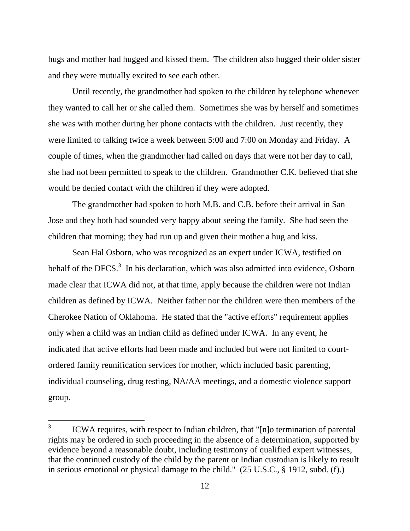hugs and mother had hugged and kissed them. The children also hugged their older sister and they were mutually excited to see each other.

Until recently, the grandmother had spoken to the children by telephone whenever they wanted to call her or she called them. Sometimes she was by herself and sometimes she was with mother during her phone contacts with the children. Just recently, they were limited to talking twice a week between 5:00 and 7:00 on Monday and Friday. A couple of times, when the grandmother had called on days that were not her day to call, she had not been permitted to speak to the children. Grandmother C.K. believed that she would be denied contact with the children if they were adopted.

The grandmother had spoken to both M.B. and C.B. before their arrival in San Jose and they both had sounded very happy about seeing the family. She had seen the children that morning; they had run up and given their mother a hug and kiss.

Sean Hal Osborn, who was recognized as an expert under ICWA, testified on behalf of the DFCS. $3$  In his declaration, which was also admitted into evidence, Osborn made clear that ICWA did not, at that time, apply because the children were not Indian children as defined by ICWA. Neither father nor the children were then members of the Cherokee Nation of Oklahoma. He stated that the "active efforts" requirement applies only when a child was an Indian child as defined under ICWA. In any event, he indicated that active efforts had been made and included but were not limited to courtordered family reunification services for mother, which included basic parenting, individual counseling, drug testing, NA/AA meetings, and a domestic violence support group.

<sup>3</sup> ICWA requires, with respect to Indian children, that "[n]o termination of parental rights may be ordered in such proceeding in the absence of a determination, supported by evidence beyond a reasonable doubt, including testimony of qualified expert witnesses, that the continued custody of the child by the parent or Indian custodian is likely to result in serious emotional or physical damage to the child." (25 U.S.C., § 1912, subd. (f).)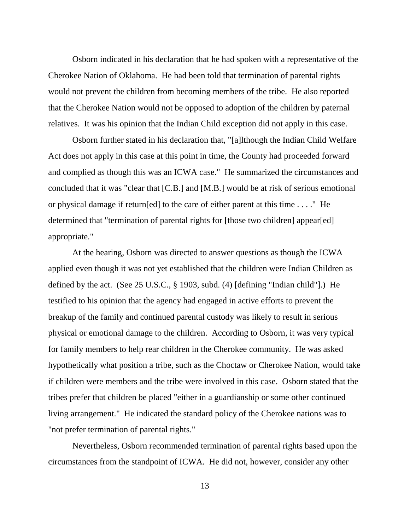Osborn indicated in his declaration that he had spoken with a representative of the Cherokee Nation of Oklahoma. He had been told that termination of parental rights would not prevent the children from becoming members of the tribe. He also reported that the Cherokee Nation would not be opposed to adoption of the children by paternal relatives. It was his opinion that the Indian Child exception did not apply in this case.

Osborn further stated in his declaration that, "[a]lthough the Indian Child Welfare Act does not apply in this case at this point in time, the County had proceeded forward and complied as though this was an ICWA case." He summarized the circumstances and concluded that it was "clear that [C.B.] and [M.B.] would be at risk of serious emotional or physical damage if return[ed] to the care of either parent at this time . . . ." He determined that "termination of parental rights for [those two children] appear[ed] appropriate."

At the hearing, Osborn was directed to answer questions as though the ICWA applied even though it was not yet established that the children were Indian Children as defined by the act. (See 25 U.S.C., § 1903, subd. (4) [defining "Indian child"].) He testified to his opinion that the agency had engaged in active efforts to prevent the breakup of the family and continued parental custody was likely to result in serious physical or emotional damage to the children. According to Osborn, it was very typical for family members to help rear children in the Cherokee community. He was asked hypothetically what position a tribe, such as the Choctaw or Cherokee Nation, would take if children were members and the tribe were involved in this case. Osborn stated that the tribes prefer that children be placed "either in a guardianship or some other continued living arrangement." He indicated the standard policy of the Cherokee nations was to "not prefer termination of parental rights."

Nevertheless, Osborn recommended termination of parental rights based upon the circumstances from the standpoint of ICWA. He did not, however, consider any other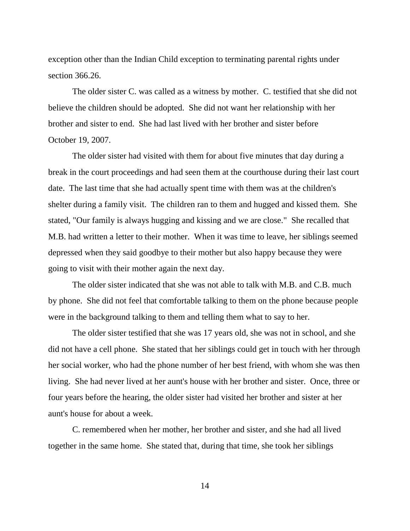exception other than the Indian Child exception to terminating parental rights under section 366.26.

The older sister C. was called as a witness by mother. C. testified that she did not believe the children should be adopted. She did not want her relationship with her brother and sister to end. She had last lived with her brother and sister before October 19, 2007.

The older sister had visited with them for about five minutes that day during a break in the court proceedings and had seen them at the courthouse during their last court date. The last time that she had actually spent time with them was at the children's shelter during a family visit. The children ran to them and hugged and kissed them. She stated, "Our family is always hugging and kissing and we are close." She recalled that M.B. had written a letter to their mother. When it was time to leave, her siblings seemed depressed when they said goodbye to their mother but also happy because they were going to visit with their mother again the next day.

The older sister indicated that she was not able to talk with M.B. and C.B. much by phone. She did not feel that comfortable talking to them on the phone because people were in the background talking to them and telling them what to say to her.

The older sister testified that she was 17 years old, she was not in school, and she did not have a cell phone. She stated that her siblings could get in touch with her through her social worker, who had the phone number of her best friend, with whom she was then living. She had never lived at her aunt's house with her brother and sister. Once, three or four years before the hearing, the older sister had visited her brother and sister at her aunt's house for about a week.

C. remembered when her mother, her brother and sister, and she had all lived together in the same home. She stated that, during that time, she took her siblings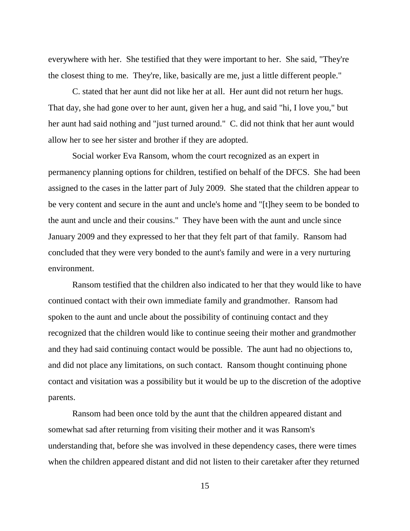everywhere with her. She testified that they were important to her. She said, "They're the closest thing to me. They're, like, basically are me, just a little different people."

C. stated that her aunt did not like her at all. Her aunt did not return her hugs. That day, she had gone over to her aunt, given her a hug, and said "hi, I love you," but her aunt had said nothing and "just turned around." C. did not think that her aunt would allow her to see her sister and brother if they are adopted.

Social worker Eva Ransom, whom the court recognized as an expert in permanency planning options for children, testified on behalf of the DFCS. She had been assigned to the cases in the latter part of July 2009. She stated that the children appear to be very content and secure in the aunt and uncle's home and "[t]hey seem to be bonded to the aunt and uncle and their cousins." They have been with the aunt and uncle since January 2009 and they expressed to her that they felt part of that family. Ransom had concluded that they were very bonded to the aunt's family and were in a very nurturing environment.

Ransom testified that the children also indicated to her that they would like to have continued contact with their own immediate family and grandmother. Ransom had spoken to the aunt and uncle about the possibility of continuing contact and they recognized that the children would like to continue seeing their mother and grandmother and they had said continuing contact would be possible. The aunt had no objections to, and did not place any limitations, on such contact. Ransom thought continuing phone contact and visitation was a possibility but it would be up to the discretion of the adoptive parents.

Ransom had been once told by the aunt that the children appeared distant and somewhat sad after returning from visiting their mother and it was Ransom's understanding that, before she was involved in these dependency cases, there were times when the children appeared distant and did not listen to their caretaker after they returned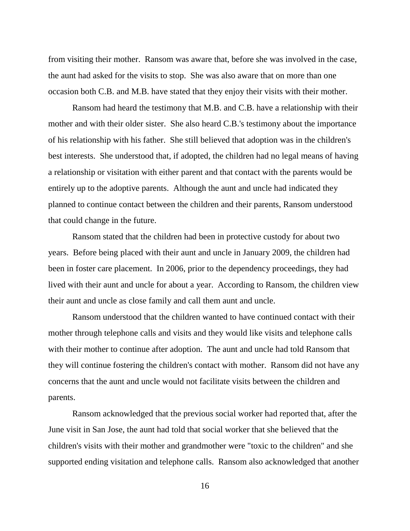from visiting their mother. Ransom was aware that, before she was involved in the case, the aunt had asked for the visits to stop. She was also aware that on more than one occasion both C.B. and M.B. have stated that they enjoy their visits with their mother.

Ransom had heard the testimony that M.B. and C.B. have a relationship with their mother and with their older sister. She also heard C.B.'s testimony about the importance of his relationship with his father. She still believed that adoption was in the children's best interests. She understood that, if adopted, the children had no legal means of having a relationship or visitation with either parent and that contact with the parents would be entirely up to the adoptive parents. Although the aunt and uncle had indicated they planned to continue contact between the children and their parents, Ransom understood that could change in the future.

Ransom stated that the children had been in protective custody for about two years. Before being placed with their aunt and uncle in January 2009, the children had been in foster care placement. In 2006, prior to the dependency proceedings, they had lived with their aunt and uncle for about a year. According to Ransom, the children view their aunt and uncle as close family and call them aunt and uncle.

Ransom understood that the children wanted to have continued contact with their mother through telephone calls and visits and they would like visits and telephone calls with their mother to continue after adoption. The aunt and uncle had told Ransom that they will continue fostering the children's contact with mother. Ransom did not have any concerns that the aunt and uncle would not facilitate visits between the children and parents.

Ransom acknowledged that the previous social worker had reported that, after the June visit in San Jose, the aunt had told that social worker that she believed that the children's visits with their mother and grandmother were "toxic to the children" and she supported ending visitation and telephone calls. Ransom also acknowledged that another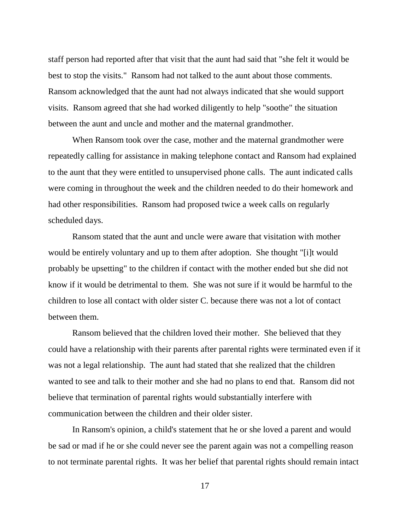staff person had reported after that visit that the aunt had said that "she felt it would be best to stop the visits." Ransom had not talked to the aunt about those comments. Ransom acknowledged that the aunt had not always indicated that she would support visits. Ransom agreed that she had worked diligently to help "soothe" the situation between the aunt and uncle and mother and the maternal grandmother.

When Ransom took over the case, mother and the maternal grandmother were repeatedly calling for assistance in making telephone contact and Ransom had explained to the aunt that they were entitled to unsupervised phone calls. The aunt indicated calls were coming in throughout the week and the children needed to do their homework and had other responsibilities. Ransom had proposed twice a week calls on regularly scheduled days.

Ransom stated that the aunt and uncle were aware that visitation with mother would be entirely voluntary and up to them after adoption. She thought "[i]t would probably be upsetting" to the children if contact with the mother ended but she did not know if it would be detrimental to them. She was not sure if it would be harmful to the children to lose all contact with older sister C. because there was not a lot of contact between them.

Ransom believed that the children loved their mother. She believed that they could have a relationship with their parents after parental rights were terminated even if it was not a legal relationship. The aunt had stated that she realized that the children wanted to see and talk to their mother and she had no plans to end that. Ransom did not believe that termination of parental rights would substantially interfere with communication between the children and their older sister.

In Ransom's opinion, a child's statement that he or she loved a parent and would be sad or mad if he or she could never see the parent again was not a compelling reason to not terminate parental rights. It was her belief that parental rights should remain intact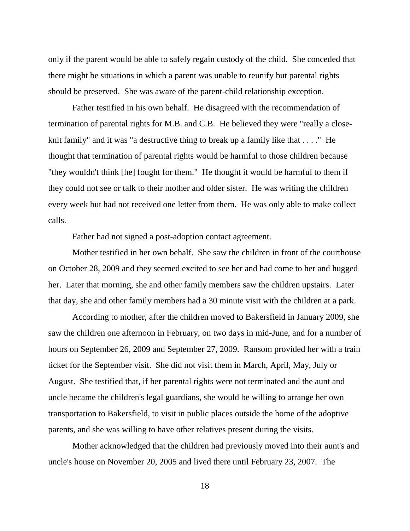only if the parent would be able to safely regain custody of the child. She conceded that there might be situations in which a parent was unable to reunify but parental rights should be preserved. She was aware of the parent-child relationship exception.

Father testified in his own behalf. He disagreed with the recommendation of termination of parental rights for M.B. and C.B. He believed they were "really a closeknit family" and it was "a destructive thing to break up a family like that . . . ." He thought that termination of parental rights would be harmful to those children because "they wouldn't think [he] fought for them." He thought it would be harmful to them if they could not see or talk to their mother and older sister. He was writing the children every week but had not received one letter from them. He was only able to make collect calls.

Father had not signed a post-adoption contact agreement.

Mother testified in her own behalf. She saw the children in front of the courthouse on October 28, 2009 and they seemed excited to see her and had come to her and hugged her. Later that morning, she and other family members saw the children upstairs. Later that day, she and other family members had a 30 minute visit with the children at a park.

According to mother, after the children moved to Bakersfield in January 2009, she saw the children one afternoon in February, on two days in mid-June, and for a number of hours on September 26, 2009 and September 27, 2009. Ransom provided her with a train ticket for the September visit. She did not visit them in March, April, May, July or August. She testified that, if her parental rights were not terminated and the aunt and uncle became the children's legal guardians, she would be willing to arrange her own transportation to Bakersfield, to visit in public places outside the home of the adoptive parents, and she was willing to have other relatives present during the visits.

Mother acknowledged that the children had previously moved into their aunt's and uncle's house on November 20, 2005 and lived there until February 23, 2007. The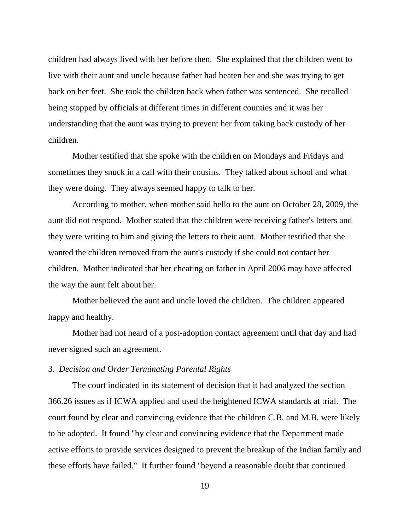children had always lived with her before then. She explained that the children went to live with their aunt and uncle because father had beaten her and she was trying to get back on her feet. She took the children back when father was sentenced. She recalled being stopped by officials at different times in different counties and it was her understanding that the aunt was trying to prevent her from taking back custody of her children.

Mother testified that she spoke with the children on Mondays and Fridays and sometimes they snuck in a call with their cousins. They talked about school and what they were doing. They always seemed happy to talk to her.

According to mother, when mother said hello to the aunt on October 28, 2009, the aunt did not respond. Mother stated that the children were receiving father's letters and they were writing to him and giving the letters to their aunt. Mother testified that she wanted the children removed from the aunt's custody if she could not contact her children. Mother indicated that her cheating on father in April 2006 may have affected the way the aunt felt about her.

Mother believed the aunt and uncle loved the children. The children appeared happy and healthy.

Mother had not heard of a post-adoption contact agreement until that day and had never signed such an agreement.

### 3. *Decision and Order Terminating Parental Rights*

The court indicated in its statement of decision that it had analyzed the section 366.26 issues as if ICWA applied and used the heightened ICWA standards at trial. The court found by clear and convincing evidence that the children C.B. and M.B. were likely to be adopted. It found "by clear and convincing evidence that the Department made active efforts to provide services designed to prevent the breakup of the Indian family and these efforts have failed." It further found "beyond a reasonable doubt that continued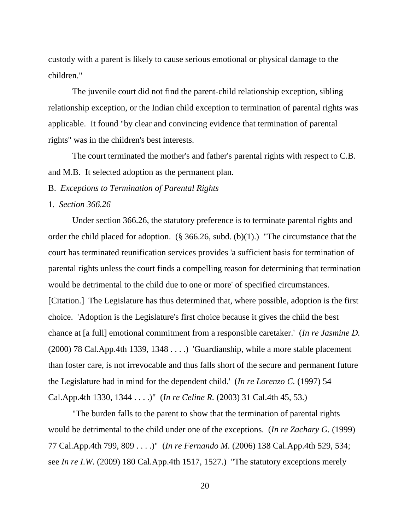custody with a parent is likely to cause serious emotional or physical damage to the children."

The juvenile court did not find the parent-child relationship exception, sibling relationship exception, or the Indian child exception to termination of parental rights was applicable. It found "by clear and convincing evidence that termination of parental rights" was in the children's best interests.

The court terminated the mother's and father's parental rights with respect to C.B. and M.B. It selected adoption as the permanent plan.

### B. *Exceptions to Termination of Parental Rights*

#### 1. *Section 366.26*

Under section 366.26, the statutory preference is to terminate parental rights and order the child placed for adoption. (§ 366.26, subd. (b)(1).) "The circumstance that the court has terminated reunification services provides 'a sufficient basis for termination of parental rights unless the court finds a compelling reason for determining that termination would be detrimental to the child due to one or more' of specified circumstances. [Citation.] The Legislature has thus determined that, where possible, adoption is the first choice. 'Adoption is the Legislature's first choice because it gives the child the best chance at [a full] emotional commitment from a responsible caretaker.' (*In re Jasmine D.* (2000) 78 Cal.App.4th 1339, 1348 . . . .) 'Guardianship, while a more stable placement than foster care, is not irrevocable and thus falls short of the secure and permanent future the Legislature had in mind for the dependent child.' (*In re Lorenzo C.* (1997) 54 Cal.App.4th 1330, 1344 . . . .)" (*In re Celine R.* (2003) 31 Cal.4th 45, 53.)

"The burden falls to the parent to show that the termination of parental rights would be detrimental to the child under one of the exceptions. (*In re Zachary G.* (1999) 77 Cal.App.4th 799, 809 . . . .)" (*In re Fernando M.* (2006) 138 Cal.App.4th 529, 534; see *In re I.W.* (2009) 180 Cal.App.4th 1517, 1527.) "The statutory exceptions merely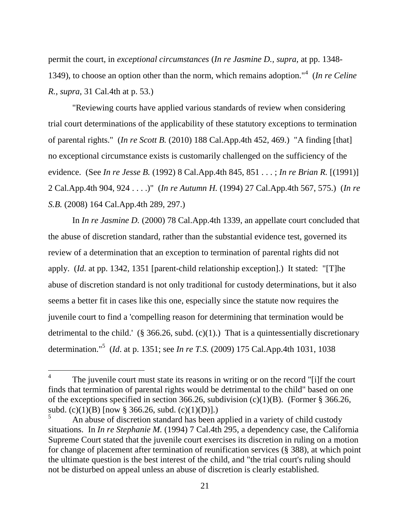permit the court, in *exceptional circumstances* (*In re Jasmine D., supra,* at pp. 1348- 1349), to choose an option other than the norm, which remains adoption."<sup>4</sup> (*In re Celine R.*, *supra*, 31 Cal.4th at p. 53.)

"Reviewing courts have applied various standards of review when considering trial court determinations of the applicability of these statutory exceptions to termination of parental rights." (*In re Scott B.* (2010) 188 Cal.App.4th 452, 469.) "A finding [that] no exceptional circumstance exists is customarily challenged on the sufficiency of the evidence. (See *In re Jesse B.* (1992) 8 Cal.App.4th 845, 851 . . . ; *In re Brian R.* [(1991)] 2 Cal.App.4th 904, 924 . . . .)" (*In re Autumn H.* (1994) 27 Cal.App.4th 567, 575.) (*In re S.B.* (2008) 164 Cal.App.4th 289, 297.)

In *In re Jasmine D.* (2000) 78 Cal.App.4th 1339, an appellate court concluded that the abuse of discretion standard, rather than the substantial evidence test, governed its review of a determination that an exception to termination of parental rights did not apply. (*Id*. at pp. 1342, 1351 [parent-child relationship exception].) It stated: "[T]he abuse of discretion standard is not only traditional for custody determinations, but it also seems a better fit in cases like this one, especially since the statute now requires the juvenile court to find a 'compelling reason for determining that termination would be detrimental to the child.' (§ 366.26, subd.  $(c)(1)$ .) That is a quintessentially discretionary determination."<sup>5</sup> (*Id*. at p. 1351; see *In re T.S.* (2009) 175 Cal.App.4th 1031, 1038

 $\overline{a}$ 

<sup>4</sup> The juvenile court must state its reasons in writing or on the record "[i]f the court finds that termination of parental rights would be detrimental to the child" based on one of the exceptions specified in section 366.26, subdivision (c)(1)(B). (Former § 366.26, subd. (c)(1)(B)  $[now § 366.26, subd. (c)(1)(D)].)$ 

<sup>5</sup> An abuse of discretion standard has been applied in a variety of child custody situations. In *In re Stephanie M.* (1994) 7 Cal.4th 295, a dependency case, the California Supreme Court stated that the juvenile court exercises its discretion in ruling on a motion for change of placement after termination of reunification services (§ 388), at which point the ultimate question is the best interest of the child, and "the trial court's ruling should not be disturbed on appeal unless an abuse of discretion is clearly established.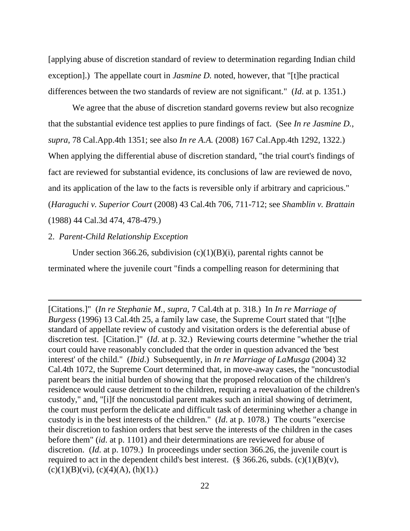[applying abuse of discretion standard of review to determination regarding Indian child exception].) The appellate court in *Jasmine D.* noted, however, that "[t]he practical differences between the two standards of review are not significant." (*Id*. at p. 1351.)

We agree that the abuse of discretion standard governs review but also recognize that the substantial evidence test applies to pure findings of fact. (See *In re Jasmine D.*, *supra*, 78 Cal.App.4th 1351; see also *In re A.A.* (2008) 167 Cal.App.4th 1292, 1322.) When applying the differential abuse of discretion standard, "the trial court's findings of fact are reviewed for substantial evidence, its conclusions of law are reviewed de novo, and its application of the law to the facts is reversible only if arbitrary and capricious." (*Haraguchi v. Superior Court* (2008) 43 Cal.4th 706, 711-712; see *Shamblin v. Brattain* (1988) 44 Cal.3d 474, 478-479.)

### 2. *Parent-Child Relationship Exception*

 $\overline{a}$ 

Under section 366.26, subdivision  $(c)(1)(B)(i)$ , parental rights cannot be terminated where the juvenile court "finds a compelling reason for determining that

<sup>[</sup>Citations.]" (*In re Stephanie M.*, *supra*, 7 Cal.4th at p. 318.) In *In re Marriage of Burgess* (1996) 13 Cal.4th 25, a family law case, the Supreme Court stated that "[t]he standard of appellate review of custody and visitation orders is the deferential abuse of discretion test. [Citation.]" (*Id*. at p. 32.) Reviewing courts determine "whether the trial court could have reasonably concluded that the order in question advanced the 'best interest' of the child." (*Ibid*.) Subsequently, in *In re Marriage of LaMusga* (2004) 32 Cal.4th 1072, the Supreme Court determined that, in move-away cases, the "noncustodial parent bears the initial burden of showing that the proposed relocation of the children's residence would cause detriment to the children, requiring a reevaluation of the children's custody," and, "[i]f the noncustodial parent makes such an initial showing of detriment, the court must perform the delicate and difficult task of determining whether a change in custody is in the best interests of the children." (*Id*. at p. 1078.) The courts "exercise their discretion to fashion orders that best serve the interests of the children in the cases before them" (*id*. at p. 1101) and their determinations are reviewed for abuse of discretion. (*Id*. at p. 1079.) In proceedings under section 366.26, the juvenile court is required to act in the dependent child's best interest. (§ 366.26, subds.  $(c)(1)(B)(v)$ ,  $(c)(1)(B)(vi), (c)(4)(A), (h)(1).$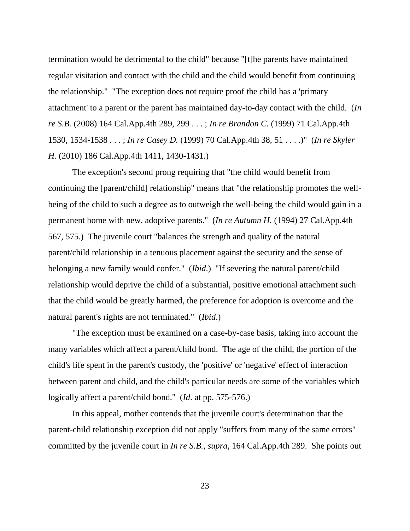termination would be detrimental to the child" because "[t]he parents have maintained regular visitation and contact with the child and the child would benefit from continuing the relationship." "The exception does not require proof the child has a 'primary attachment' to a parent or the parent has maintained day-to-day contact with the child. (*In re S.B.* (2008) 164 Cal.App.4th 289, 299 . . . ; *In re Brandon C.* (1999) 71 Cal.App.4th 1530, 1534-1538 . . . ; *In re Casey D.* (1999) 70 Cal.App.4th 38, 51 . . . .)" (*In re Skyler H.* (2010) 186 Cal.App.4th 1411, 1430-1431.)

The exception's second prong requiring that "the child would benefit from continuing the [parent/child] relationship" means that "the relationship promotes the wellbeing of the child to such a degree as to outweigh the well-being the child would gain in a permanent home with new, adoptive parents." (*In re Autumn H.* (1994) 27 Cal.App.4th 567, 575.) The juvenile court "balances the strength and quality of the natural parent/child relationship in a tenuous placement against the security and the sense of belonging a new family would confer." (*Ibid*.) "If severing the natural parent/child relationship would deprive the child of a substantial, positive emotional attachment such that the child would be greatly harmed, the preference for adoption is overcome and the natural parent's rights are not terminated." (*Ibid*.)

"The exception must be examined on a case-by-case basis, taking into account the many variables which affect a parent/child bond. The age of the child, the portion of the child's life spent in the parent's custody, the 'positive' or 'negative' effect of interaction between parent and child, and the child's particular needs are some of the variables which logically affect a parent/child bond." (*Id*. at pp. 575-576.)

In this appeal, mother contends that the juvenile court's determination that the parent-child relationship exception did not apply "suffers from many of the same errors" committed by the juvenile court in *In re S.B.*, *supra*, 164 Cal.App.4th 289. She points out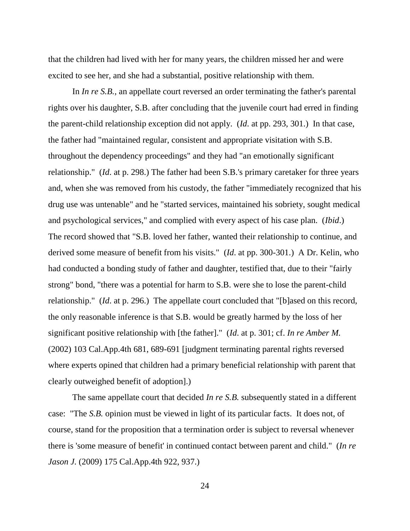that the children had lived with her for many years, the children missed her and were excited to see her, and she had a substantial, positive relationship with them.

In *In re S.B.*, an appellate court reversed an order terminating the father's parental rights over his daughter, S.B. after concluding that the juvenile court had erred in finding the parent-child relationship exception did not apply. (*Id*. at pp. 293, 301.) In that case, the father had "maintained regular, consistent and appropriate visitation with S.B. throughout the dependency proceedings" and they had "an emotionally significant relationship." (*Id*. at p. 298.) The father had been S.B.'s primary caretaker for three years and, when she was removed from his custody, the father "immediately recognized that his drug use was untenable" and he "started services, maintained his sobriety, sought medical and psychological services," and complied with every aspect of his case plan. (*Ibid*.) The record showed that "S.B. loved her father, wanted their relationship to continue, and derived some measure of benefit from his visits." (*Id*. at pp. 300-301.) A Dr. Kelin, who had conducted a bonding study of father and daughter, testified that, due to their "fairly strong" bond, "there was a potential for harm to S.B. were she to lose the parent-child relationship." (*Id*. at p. 296.) The appellate court concluded that "[b]ased on this record, the only reasonable inference is that S.B. would be greatly harmed by the loss of her significant positive relationship with [the father]." (*Id*. at p. 301; cf. *In re Amber M.* (2002) 103 Cal.App.4th 681, 689-691 [judgment terminating parental rights reversed where experts opined that children had a primary beneficial relationship with parent that clearly outweighed benefit of adoption].)

The same appellate court that decided *In re S.B.* subsequently stated in a different case: "The *S.B.* opinion must be viewed in light of its particular facts. It does not, of course, stand for the proposition that a termination order is subject to reversal whenever there is 'some measure of benefit' in continued contact between parent and child." (*In re Jason J.* (2009) 175 Cal.App.4th 922, 937.)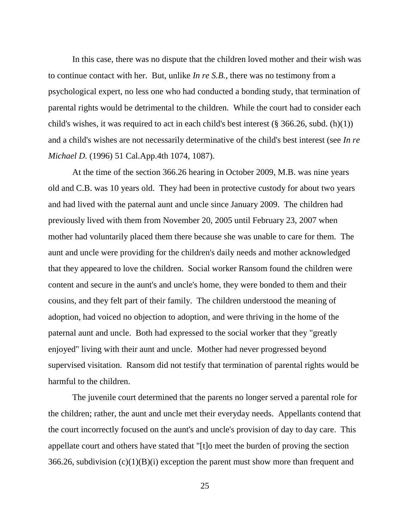In this case, there was no dispute that the children loved mother and their wish was to continue contact with her. But, unlike *In re S.B.*, there was no testimony from a psychological expert, no less one who had conducted a bonding study, that termination of parental rights would be detrimental to the children. While the court had to consider each child's wishes, it was required to act in each child's best interest  $(\S 366.26, \text{subd.} (h)(1))$ and a child's wishes are not necessarily determinative of the child's best interest (see *In re Michael D.* (1996) 51 Cal.App.4th 1074, 1087).

At the time of the section 366.26 hearing in October 2009, M.B. was nine years old and C.B. was 10 years old. They had been in protective custody for about two years and had lived with the paternal aunt and uncle since January 2009. The children had previously lived with them from November 20, 2005 until February 23, 2007 when mother had voluntarily placed them there because she was unable to care for them. The aunt and uncle were providing for the children's daily needs and mother acknowledged that they appeared to love the children. Social worker Ransom found the children were content and secure in the aunt's and uncle's home, they were bonded to them and their cousins, and they felt part of their family. The children understood the meaning of adoption, had voiced no objection to adoption, and were thriving in the home of the paternal aunt and uncle. Both had expressed to the social worker that they "greatly enjoyed" living with their aunt and uncle. Mother had never progressed beyond supervised visitation. Ransom did not testify that termination of parental rights would be harmful to the children.

The juvenile court determined that the parents no longer served a parental role for the children; rather, the aunt and uncle met their everyday needs. Appellants contend that the court incorrectly focused on the aunt's and uncle's provision of day to day care. This appellate court and others have stated that "[t]o meet the burden of proving the section 366.26, subdivision  $(c)(1)(B)(i)$  exception the parent must show more than frequent and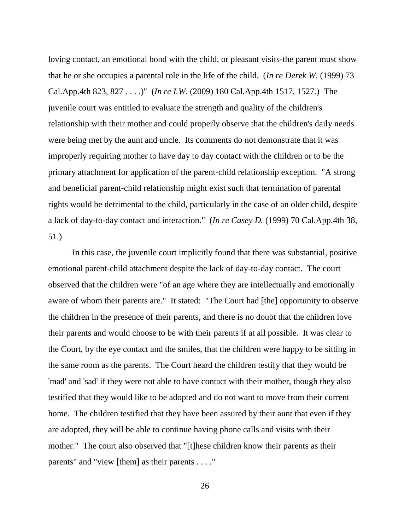loving contact, an emotional bond with the child, or pleasant visits-the parent must show that he or she occupies a parental role in the life of the child. (*In re Derek W.* (1999) 73 Cal.App.4th 823, 827 . . . .)" (*In re I.W.* (2009) 180 Cal.App.4th 1517, 1527.) The juvenile court was entitled to evaluate the strength and quality of the children's relationship with their mother and could properly observe that the children's daily needs were being met by the aunt and uncle. Its comments do not demonstrate that it was improperly requiring mother to have day to day contact with the children or to be the primary attachment for application of the parent-child relationship exception. "A strong and beneficial parent-child relationship might exist such that termination of parental rights would be detrimental to the child, particularly in the case of an older child, despite a lack of day-to-day contact and interaction." (*In re Casey D.* (1999) 70 Cal.App.4th 38, 51.)

In this case, the juvenile court implicitly found that there was substantial, positive emotional parent-child attachment despite the lack of day-to-day contact. The court observed that the children were "of an age where they are intellectually and emotionally aware of whom their parents are." It stated: "The Court had [the] opportunity to observe the children in the presence of their parents, and there is no doubt that the children love their parents and would choose to be with their parents if at all possible. It was clear to the Court, by the eye contact and the smiles, that the children were happy to be sitting in the same room as the parents. The Court heard the children testify that they would be 'mad' and 'sad' if they were not able to have contact with their mother, though they also testified that they would like to be adopted and do not want to move from their current home. The children testified that they have been assured by their aunt that even if they are adopted, they will be able to continue having phone calls and visits with their mother." The court also observed that "[t]hese children know their parents as their parents" and "view [them] as their parents . . . ."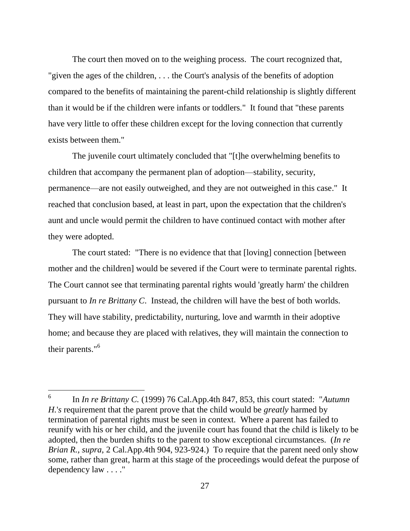The court then moved on to the weighing process. The court recognized that, "given the ages of the children, . . . the Court's analysis of the benefits of adoption compared to the benefits of maintaining the parent-child relationship is slightly different than it would be if the children were infants or toddlers." It found that "these parents have very little to offer these children except for the loving connection that currently exists between them."

The juvenile court ultimately concluded that "[t]he overwhelming benefits to children that accompany the permanent plan of adoption—stability, security, permanence—are not easily outweighed, and they are not outweighed in this case." It reached that conclusion based, at least in part, upon the expectation that the children's aunt and uncle would permit the children to have continued contact with mother after they were adopted.

The court stated: "There is no evidence that that [loving] connection [between mother and the children] would be severed if the Court were to terminate parental rights. The Court cannot see that terminating parental rights would 'greatly harm' the children pursuant to *In re Brittany C*. Instead, the children will have the best of both worlds. They will have stability, predictability, nurturing, love and warmth in their adoptive home; and because they are placed with relatives, they will maintain the connection to their parents."<sup>6</sup>

 $\overline{a}$ 

<sup>6</sup> In *In re Brittany C.* (1999) 76 Cal.App.4th 847, 853, this court stated: "*Autumn H.*'*s* requirement that the parent prove that the child would be *greatly* harmed by termination of parental rights must be seen in context. Where a parent has failed to reunify with his or her child, and the juvenile court has found that the child is likely to be adopted, then the burden shifts to the parent to show exceptional circumstances. (*In re Brian R., supra*, 2 Cal.App.4th 904, 923-924.) To require that the parent need only show some, rather than great, harm at this stage of the proceedings would defeat the purpose of dependency law . . . ."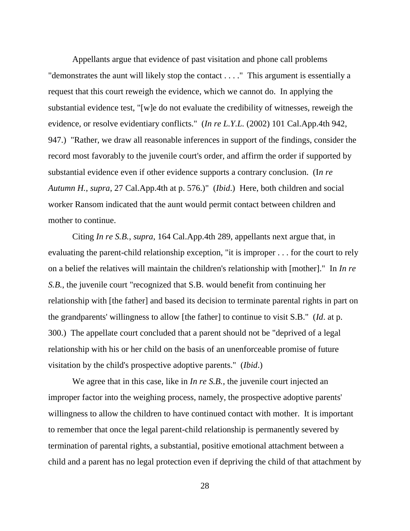Appellants argue that evidence of past visitation and phone call problems "demonstrates the aunt will likely stop the contact . . . ." This argument is essentially a request that this court reweigh the evidence, which we cannot do. In applying the substantial evidence test, "[w]e do not evaluate the credibility of witnesses, reweigh the evidence, or resolve evidentiary conflicts." (*In re L.Y.L.* (2002) 101 Cal.App.4th 942, 947.) "Rather, we draw all reasonable inferences in support of the findings, consider the record most favorably to the juvenile court's order, and affirm the order if supported by substantial evidence even if other evidence supports a contrary conclusion. (I*n re Autumn H.*, *supra*, 27 Cal.App.4th at p. 576.)" (*Ibid*.) Here, both children and social worker Ransom indicated that the aunt would permit contact between children and mother to continue.

Citing *In re S.B.*, *supra*, 164 Cal.App.4th 289, appellants next argue that, in evaluating the parent-child relationship exception, "it is improper . . . for the court to rely on a belief the relatives will maintain the children's relationship with [mother]." In *In re S.B.*, the juvenile court "recognized that S.B. would benefit from continuing her relationship with [the father] and based its decision to terminate parental rights in part on the grandparents' willingness to allow [the father] to continue to visit S.B." (*Id*. at p. 300.) The appellate court concluded that a parent should not be "deprived of a legal relationship with his or her child on the basis of an unenforceable promise of future visitation by the child's prospective adoptive parents." (*Ibid*.)

We agree that in this case, like in *In re S.B.*, the juvenile court injected an improper factor into the weighing process, namely, the prospective adoptive parents' willingness to allow the children to have continued contact with mother. It is important to remember that once the legal parent-child relationship is permanently severed by termination of parental rights, a substantial, positive emotional attachment between a child and a parent has no legal protection even if depriving the child of that attachment by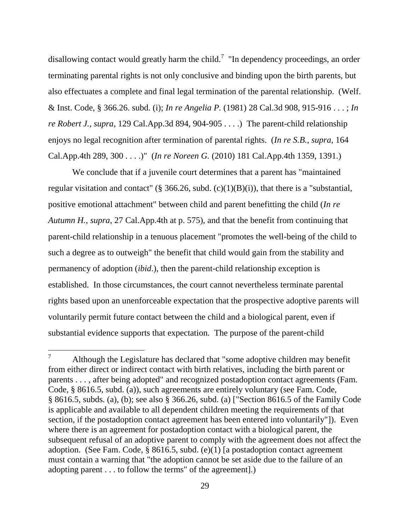disallowing contact would greatly harm the child.<sup>7</sup> "In dependency proceedings, an order terminating parental rights is not only conclusive and binding upon the birth parents, but also effectuates a complete and final legal termination of the parental relationship. (Welf. & Inst. Code, § 366.26. subd. (i); *In re Angelia P.* (1981) 28 Cal.3d 908, 915-916 . . . ; *In re Robert J.*, *supra*, 129 Cal.App.3d 894, 904-905 . . . .) The parent-child relationship enjoys no legal recognition after termination of parental rights. (*In re S.B.*, *supra*, 164 Cal.App.4th 289, 300 . . . .)" (*In re Noreen G.* (2010) 181 Cal.App.4th 1359, 1391.)

We conclude that if a juvenile court determines that a parent has "maintained regular visitation and contact" (§ 366.26, subd. (c)(1)(B)(i)), that there is a "substantial, positive emotional attachment" between child and parent benefitting the child (*In re Autumn H.*, *supra*, 27 Cal.App.4th at p. 575), and that the benefit from continuing that parent-child relationship in a tenuous placement "promotes the well-being of the child to such a degree as to outweigh" the benefit that child would gain from the stability and permanency of adoption (*ibid*.), then the parent-child relationship exception is established. In those circumstances, the court cannot nevertheless terminate parental rights based upon an unenforceable expectation that the prospective adoptive parents will voluntarily permit future contact between the child and a biological parent, even if substantial evidence supports that expectation. The purpose of the parent-child

 $\tau$ Although the Legislature has declared that "some adoptive children may benefit from either direct or indirect contact with birth relatives, including the birth parent or parents . . . , after being adopted" and recognized postadoption contact agreements (Fam. Code, § 8616.5, subd. (a)), such agreements are entirely voluntary (see Fam. Code, § 8616.5, subds. (a), (b); see also § 366.26, subd. (a) ["Section 8616.5 of the Family Code is applicable and available to all dependent children meeting the requirements of that section, if the postadoption contact agreement has been entered into voluntarily"]). Even where there is an agreement for postadoption contact with a biological parent, the subsequent refusal of an adoptive parent to comply with the agreement does not affect the adoption. (See Fam. Code, § 8616.5, subd. (e)(1) [a postadoption contact agreement must contain a warning that "the adoption cannot be set aside due to the failure of an adopting parent . . . to follow the terms" of the agreement].)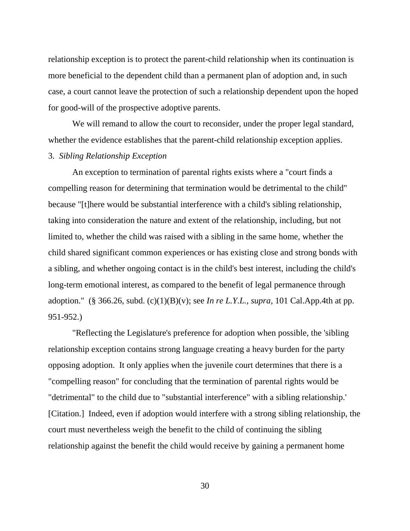relationship exception is to protect the parent-child relationship when its continuation is more beneficial to the dependent child than a permanent plan of adoption and, in such case, a court cannot leave the protection of such a relationship dependent upon the hoped for good-will of the prospective adoptive parents.

We will remand to allow the court to reconsider, under the proper legal standard, whether the evidence establishes that the parent-child relationship exception applies. 3. *Sibling Relationship Exception*

An exception to termination of parental rights exists where a "court finds a compelling reason for determining that termination would be detrimental to the child" because "[t]here would be substantial interference with a child's sibling relationship, taking into consideration the nature and extent of the relationship, including, but not limited to, whether the child was raised with a sibling in the same home, whether the child shared significant common experiences or has existing close and strong bonds with a sibling, and whether ongoing contact is in the child's best interest, including the child's long-term emotional interest, as compared to the benefit of legal permanence through adoption." (§ 366.26, subd. (c)(1)(B)(v); see *In re L.Y.L.*, *supra*, 101 Cal.App.4th at pp. 951-952.)

"Reflecting the Legislature's preference for adoption when possible, the 'sibling relationship exception contains strong language creating a heavy burden for the party opposing adoption. It only applies when the juvenile court determines that there is a "compelling reason" for concluding that the termination of parental rights would be "detrimental" to the child due to "substantial interference" with a sibling relationship.' [Citation.] Indeed, even if adoption would interfere with a strong sibling relationship, the court must nevertheless weigh the benefit to the child of continuing the sibling relationship against the benefit the child would receive by gaining a permanent home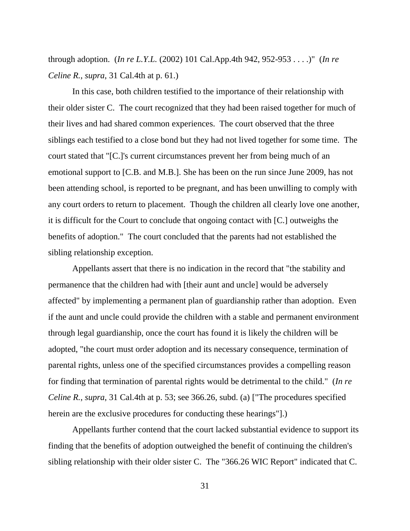through adoption. (*In re L.Y.L.* (2002) 101 Cal.App.4th 942, 952-953 . . . .)" (*In re Celine R.*, *supra*, 31 Cal.4th at p. 61.)

In this case, both children testified to the importance of their relationship with their older sister C. The court recognized that they had been raised together for much of their lives and had shared common experiences. The court observed that the three siblings each testified to a close bond but they had not lived together for some time. The court stated that "[C.]'s current circumstances prevent her from being much of an emotional support to [C.B. and M.B.]. She has been on the run since June 2009, has not been attending school, is reported to be pregnant, and has been unwilling to comply with any court orders to return to placement. Though the children all clearly love one another, it is difficult for the Court to conclude that ongoing contact with [C.] outweighs the benefits of adoption." The court concluded that the parents had not established the sibling relationship exception.

Appellants assert that there is no indication in the record that "the stability and permanence that the children had with [their aunt and uncle] would be adversely affected" by implementing a permanent plan of guardianship rather than adoption. Even if the aunt and uncle could provide the children with a stable and permanent environment through legal guardianship, once the court has found it is likely the children will be adopted, "the court must order adoption and its necessary consequence, termination of parental rights, unless one of the specified circumstances provides a compelling reason for finding that termination of parental rights would be detrimental to the child." (*In re Celine R.*, *supra*, 31 Cal.4th at p. 53; see 366.26, subd. (a) ["The procedures specified herein are the exclusive procedures for conducting these hearings"].)

Appellants further contend that the court lacked substantial evidence to support its finding that the benefits of adoption outweighed the benefit of continuing the children's sibling relationship with their older sister C. The "366.26 WIC Report" indicated that C.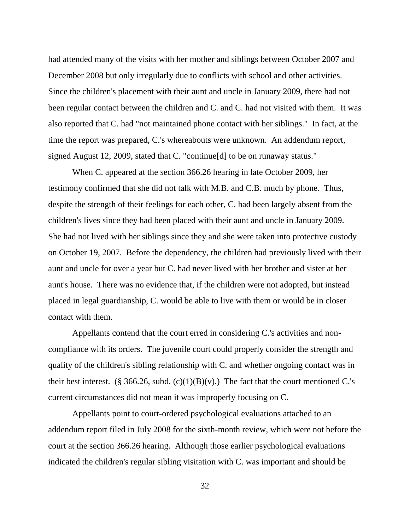had attended many of the visits with her mother and siblings between October 2007 and December 2008 but only irregularly due to conflicts with school and other activities. Since the children's placement with their aunt and uncle in January 2009, there had not been regular contact between the children and C. and C. had not visited with them. It was also reported that C. had "not maintained phone contact with her siblings." In fact, at the time the report was prepared, C.'s whereabouts were unknown. An addendum report, signed August 12, 2009, stated that C. "continue[d] to be on runaway status."

When C. appeared at the section 366.26 hearing in late October 2009, her testimony confirmed that she did not talk with M.B. and C.B. much by phone. Thus, despite the strength of their feelings for each other, C. had been largely absent from the children's lives since they had been placed with their aunt and uncle in January 2009. She had not lived with her siblings since they and she were taken into protective custody on October 19, 2007. Before the dependency, the children had previously lived with their aunt and uncle for over a year but C. had never lived with her brother and sister at her aunt's house. There was no evidence that, if the children were not adopted, but instead placed in legal guardianship, C. would be able to live with them or would be in closer contact with them.

Appellants contend that the court erred in considering C.'s activities and noncompliance with its orders. The juvenile court could properly consider the strength and quality of the children's sibling relationship with C. and whether ongoing contact was in their best interest. (§ 366.26, subd. (c)(1)(B)(v).) The fact that the court mentioned C.'s current circumstances did not mean it was improperly focusing on C.

Appellants point to court-ordered psychological evaluations attached to an addendum report filed in July 2008 for the sixth-month review, which were not before the court at the section 366.26 hearing. Although those earlier psychological evaluations indicated the children's regular sibling visitation with C. was important and should be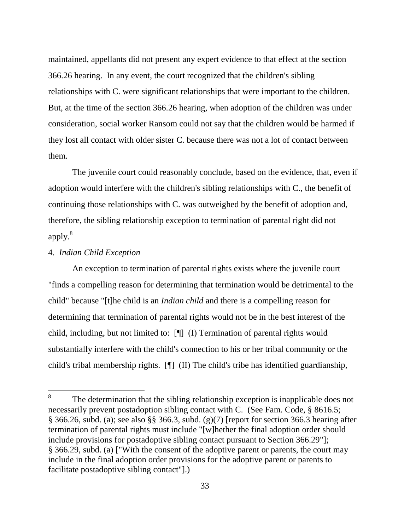maintained, appellants did not present any expert evidence to that effect at the section 366.26 hearing. In any event, the court recognized that the children's sibling relationships with C. were significant relationships that were important to the children. But, at the time of the section 366.26 hearing, when adoption of the children was under consideration, social worker Ransom could not say that the children would be harmed if they lost all contact with older sister C. because there was not a lot of contact between them.

The juvenile court could reasonably conclude, based on the evidence, that, even if adoption would interfere with the children's sibling relationships with C., the benefit of continuing those relationships with C. was outweighed by the benefit of adoption and, therefore, the sibling relationship exception to termination of parental right did not apply.<sup>8</sup>

#### 4. *Indian Child Exception*

 $\overline{a}$ 

An exception to termination of parental rights exists where the juvenile court "finds a compelling reason for determining that termination would be detrimental to the child" because "[t]he child is an *Indian child* and there is a compelling reason for determining that termination of parental rights would not be in the best interest of the child, including, but not limited to: [¶] (I) Termination of parental rights would substantially interfere with the child's connection to his or her tribal community or the child's tribal membership rights. [¶] (II) The child's tribe has identified guardianship,

<sup>8</sup> The determination that the sibling relationship exception is inapplicable does not necessarily prevent postadoption sibling contact with C. (See Fam. Code, § 8616.5; § 366.26, subd. (a); see also §§ 366.3, subd. (g)(7) [report for section 366.3 hearing after termination of parental rights must include "[w]hether the final adoption order should include provisions for postadoptive sibling contact pursuant to Section 366.29"]; § 366.29, subd. (a) ["With the consent of the adoptive parent or parents, the court may include in the final adoption order provisions for the adoptive parent or parents to facilitate postadoptive sibling contact"].)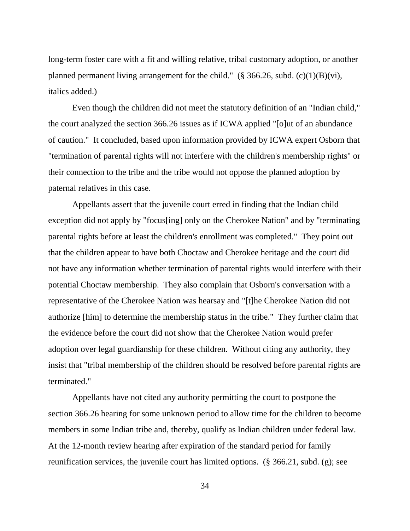long-term foster care with a fit and willing relative, tribal customary adoption, or another planned permanent living arrangement for the child." (§ 366.26, subd.  $(c)(1)(B)(vi)$ , italics added.)

Even though the children did not meet the statutory definition of an "Indian child," the court analyzed the section 366.26 issues as if ICWA applied "[o]ut of an abundance of caution." It concluded, based upon information provided by ICWA expert Osborn that "termination of parental rights will not interfere with the children's membership rights" or their connection to the tribe and the tribe would not oppose the planned adoption by paternal relatives in this case.

Appellants assert that the juvenile court erred in finding that the Indian child exception did not apply by "focus[ing] only on the Cherokee Nation" and by "terminating parental rights before at least the children's enrollment was completed." They point out that the children appear to have both Choctaw and Cherokee heritage and the court did not have any information whether termination of parental rights would interfere with their potential Choctaw membership. They also complain that Osborn's conversation with a representative of the Cherokee Nation was hearsay and "[t]he Cherokee Nation did not authorize [him] to determine the membership status in the tribe." They further claim that the evidence before the court did not show that the Cherokee Nation would prefer adoption over legal guardianship for these children. Without citing any authority, they insist that "tribal membership of the children should be resolved before parental rights are terminated."

Appellants have not cited any authority permitting the court to postpone the section 366.26 hearing for some unknown period to allow time for the children to become members in some Indian tribe and, thereby, qualify as Indian children under federal law. At the 12-month review hearing after expiration of the standard period for family reunification services, the juvenile court has limited options. (§ 366.21, subd. (g); see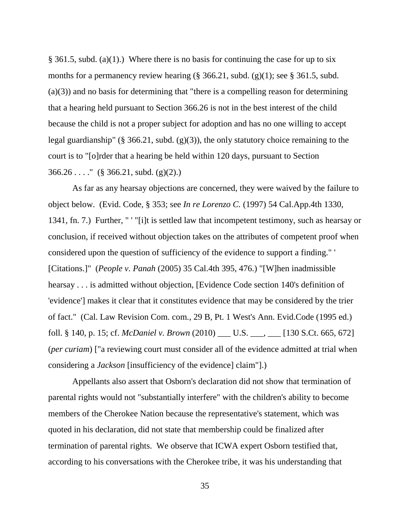§ 361.5, subd. (a)(1).) Where there is no basis for continuing the case for up to six months for a permanency review hearing  $(\S$  366.21, subd.  $(g)(1)$ ; see  $\S$  361.5, subd.  $(a)(3)$  and no basis for determining that "there is a compelling reason for determining that a hearing held pursuant to Section 366.26 is not in the best interest of the child because the child is not a proper subject for adoption and has no one willing to accept legal guardianship" (§ 366.21, subd.  $(g)(3)$ ), the only statutory choice remaining to the court is to "[o]rder that a hearing be held within 120 days, pursuant to Section  $366.26...$  (§ 366.21, subd. (g)(2).)

As far as any hearsay objections are concerned, they were waived by the failure to object below. (Evid. Code, § 353; see *In re Lorenzo C.* (1997) 54 Cal.App.4th 1330, 1341, fn. 7.) Further, " ' "[i]t is settled law that incompetent testimony, such as hearsay or conclusion, if received without objection takes on the attributes of competent proof when considered upon the question of sufficiency of the evidence to support a finding." ' [Citations.]" (*People v. Panah* (2005) 35 Cal.4th 395, 476.) "[W]hen inadmissible hearsay . . . is admitted without objection, [Evidence Code section 140's definition of 'evidence'] makes it clear that it constitutes evidence that may be considered by the trier of fact." (Cal. Law Revision Com. com., 29 B, Pt. 1 West's Ann. Evid.Code (1995 ed.) foll. § 140, p. 15; cf. *McDaniel v. Brown* (2010) \_\_\_ U.S. \_\_\_, \_\_\_ [130 S.Ct. 665, 672] (*per curiam*) ["a reviewing court must consider all of the evidence admitted at trial when considering a *Jackson* [insufficiency of the evidence] claim"].)

Appellants also assert that Osborn's declaration did not show that termination of parental rights would not "substantially interfere" with the children's ability to become members of the Cherokee Nation because the representative's statement, which was quoted in his declaration, did not state that membership could be finalized after termination of parental rights. We observe that ICWA expert Osborn testified that, according to his conversations with the Cherokee tribe, it was his understanding that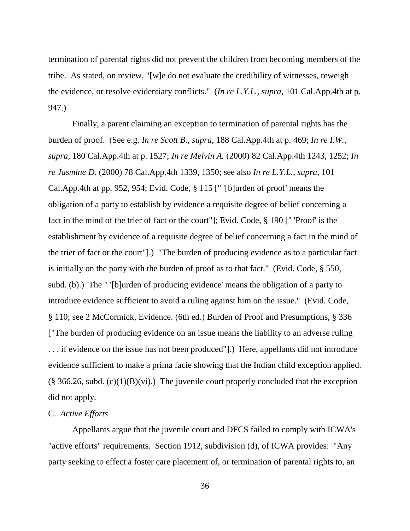termination of parental rights did not prevent the children from becoming members of the tribe. As stated, on review, "[w]e do not evaluate the credibility of witnesses, reweigh the evidence, or resolve evidentiary conflicts." (*In re L.Y.L.*, *supra*, 101 Cal.App.4th at p. 947.)

Finally, a parent claiming an exception to termination of parental rights has the burden of proof. (See e.g. *In re Scott B.*, *supra*, 188 Cal.App.4th at p. 469; *In re I.W.*, *supra*, 180 Cal.App.4th at p. 1527; *In re Melvin A.* (2000) 82 Cal.App.4th 1243, 1252; *In re Jasmine D.* (2000) 78 Cal.App.4th 1339, 1350; see also *In re L.Y.L.*, *supra*, 101 Cal.App.4th at pp. 952, 954; Evid. Code, § 115 [" '[b]urden of proof' means the obligation of a party to establish by evidence a requisite degree of belief concerning a fact in the mind of the trier of fact or the court"]; Evid. Code, § 190 [" 'Proof' is the establishment by evidence of a requisite degree of belief concerning a fact in the mind of the trier of fact or the court"].) "The burden of producing evidence as to a particular fact is initially on the party with the burden of proof as to that fact." (Evid. Code, § 550, subd. (b).) The " '[b]urden of producing evidence' means the obligation of a party to introduce evidence sufficient to avoid a ruling against him on the issue." (Evid. Code, § 110; see 2 McCormick, Evidence. (6th ed.) Burden of Proof and Presumptions, § 336 ["The burden of producing evidence on an issue means the liability to an adverse ruling . . . if evidence on the issue has not been produced"].) Here, appellants did not introduce evidence sufficient to make a prima facie showing that the Indian child exception applied.  $(\S 366.26, \text{subd. (c)}(1)(B)(vi))$ . The juvenile court properly concluded that the exception did not apply.

### C. *Active Efforts*

Appellants argue that the juvenile court and DFCS failed to comply with ICWA's "active efforts" requirements. Section 1912, subdivision (d), of ICWA provides: "Any party seeking to effect a foster care placement of, or termination of parental rights to, an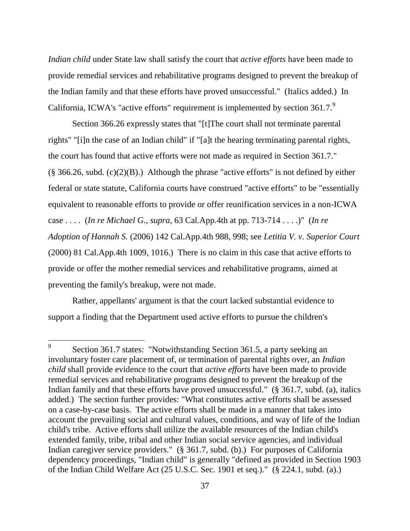*Indian child* under State law shall satisfy the court that *active efforts* have been made to provide remedial services and rehabilitative programs designed to prevent the breakup of the Indian family and that these efforts have proved unsuccessful." (Italics added.) In California, ICWA's "active efforts" requirement is implemented by section 361.7.<sup>9</sup>

Section 366.26 expressly states that "[t]The court shall not terminate parental rights" "[i]n the case of an Indian child" if "[a]t the hearing terminating parental rights, the court has found that active efforts were not made as required in Section 361.7."  $(\S 366.26, \text{subd. (c)}(2)(B))$ . Although the phrase "active efforts" is not defined by either federal or state statute, California courts have construed "active efforts" to be "essentially equivalent to reasonable efforts to provide or offer reunification services in a non-ICWA case . . . . (*In re Michael G.*, *supra*, 63 Cal.App.4th at pp. 713-714 . . . .)" (*In re Adoption of Hannah S.* (2006) 142 Cal.App.4th 988, 998; see *Letitia V. v. Superior Court* (2000) 81 Cal.App.4th 1009, 1016.) There is no claim in this case that active efforts to provide or offer the mother remedial services and rehabilitative programs, aimed at preventing the family's breakup, were not made.

Rather, appellants' argument is that the court lacked substantial evidence to support a finding that the Department used active efforts to pursue the children's

 $\overline{a}$ 

<sup>9</sup> Section 361.7 states: "Notwithstanding Section 361.5, a party seeking an involuntary foster care placement of, or termination of parental rights over, an *Indian child* shall provide evidence to the court that *active efforts* have been made to provide remedial services and rehabilitative programs designed to prevent the breakup of the Indian family and that these efforts have proved unsuccessful." (§ 361.7, subd. (a), italics added.) The section further provides: "What constitutes active efforts shall be assessed on a case-by-case basis. The active efforts shall be made in a manner that takes into account the prevailing social and cultural values, conditions, and way of life of the Indian child's tribe. Active efforts shall utilize the available resources of the Indian child's extended family, tribe, tribal and other Indian social service agencies, and individual Indian caregiver service providers." (§ 361.7, subd. (b).) For purposes of California dependency proceedings, "Indian child" is generally "defined as provided in Section 1903 of the Indian Child Welfare Act (25 U.S.C. Sec. 1901 et seq.)." (§ 224.1, subd. (a).)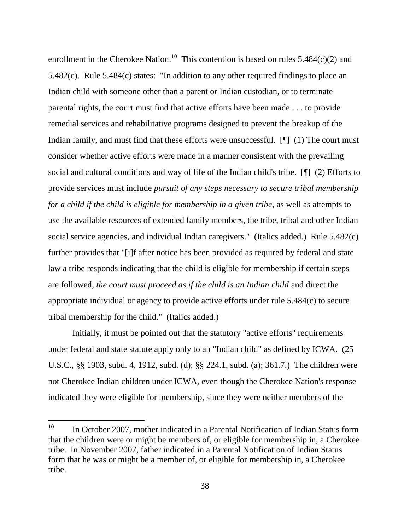enrollment in the Cherokee Nation.<sup>10</sup> This contention is based on rules  $5.484(c)(2)$  and 5.482(c). Rule 5.484(c) states: "In addition to any other required findings to place an Indian child with someone other than a parent or Indian custodian, or to terminate parental rights, the court must find that active efforts have been made . . . to provide remedial services and rehabilitative programs designed to prevent the breakup of the Indian family, and must find that these efforts were unsuccessful. [I] (1) The court must consider whether active efforts were made in a manner consistent with the prevailing social and cultural conditions and way of life of the Indian child's tribe. [¶] (2) Efforts to provide services must include *pursuit of any steps necessary to secure tribal membership for a child if the child is eligible for membership in a given tribe*, as well as attempts to use the available resources of extended family members, the tribe, tribal and other Indian social service agencies, and individual Indian caregivers." (Italics added.) Rule 5.482(c) further provides that "[i]f after notice has been provided as required by federal and state law a tribe responds indicating that the child is eligible for membership if certain steps are followed, *the court must proceed as if the child is an Indian child* and direct the appropriate individual or agency to provide active efforts under rule 5.484(c) to secure tribal membership for the child." (Italics added.)

Initially, it must be pointed out that the statutory "active efforts" requirements under federal and state statute apply only to an "Indian child" as defined by ICWA. (25 U.S.C., §§ 1903, subd. 4, 1912, subd. (d); §§ 224.1, subd. (a); 361.7.) The children were not Cherokee Indian children under ICWA, even though the Cherokee Nation's response indicated they were eligible for membership, since they were neither members of the

<sup>&</sup>lt;sup>10</sup> In October 2007, mother indicated in a Parental Notification of Indian Status form that the children were or might be members of, or eligible for membership in, a Cherokee tribe. In November 2007, father indicated in a Parental Notification of Indian Status form that he was or might be a member of, or eligible for membership in, a Cherokee tribe.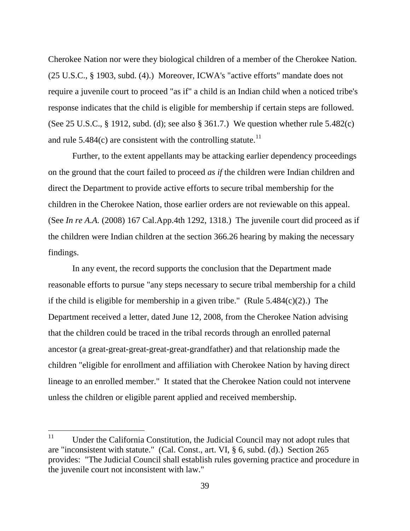Cherokee Nation nor were they biological children of a member of the Cherokee Nation. (25 U.S.C., § 1903, subd. (4).) Moreover, ICWA's "active efforts" mandate does not require a juvenile court to proceed "as if" a child is an Indian child when a noticed tribe's response indicates that the child is eligible for membership if certain steps are followed. (See 25 U.S.C., § 1912, subd. (d); see also § 361.7.) We question whether rule 5.482(c) and rule  $5.484(c)$  are consistent with the controlling statute.<sup>11</sup>

Further, to the extent appellants may be attacking earlier dependency proceedings on the ground that the court failed to proceed *as if* the children were Indian children and direct the Department to provide active efforts to secure tribal membership for the children in the Cherokee Nation, those earlier orders are not reviewable on this appeal. (See *In re A.A.* (2008) 167 Cal.App.4th 1292, 1318.) The juvenile court did proceed as if the children were Indian children at the section 366.26 hearing by making the necessary findings.

In any event, the record supports the conclusion that the Department made reasonable efforts to pursue "any steps necessary to secure tribal membership for a child if the child is eligible for membership in a given tribe." (Rule  $5.484(c)(2)$ .) The Department received a letter, dated June 12, 2008, from the Cherokee Nation advising that the children could be traced in the tribal records through an enrolled paternal ancestor (a great-great-great-great-great-grandfather) and that relationship made the children "eligible for enrollment and affiliation with Cherokee Nation by having direct lineage to an enrolled member." It stated that the Cherokee Nation could not intervene unless the children or eligible parent applied and received membership.

<sup>11</sup> Under the California Constitution, the Judicial Council may not adopt rules that are "inconsistent with statute." (Cal. Const., art. VI, § 6, subd. (d).) Section 265 provides: "The Judicial Council shall establish rules governing practice and procedure in the juvenile court not inconsistent with law."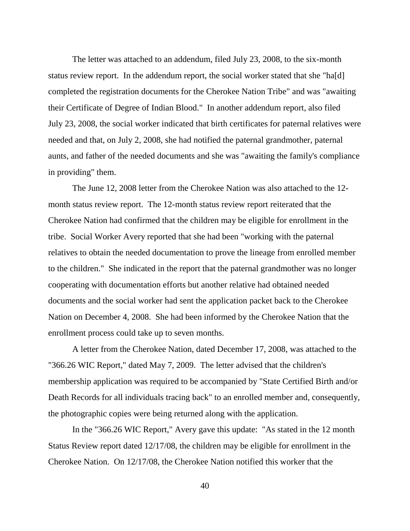The letter was attached to an addendum, filed July 23, 2008, to the six-month status review report. In the addendum report, the social worker stated that she "ha[d] completed the registration documents for the Cherokee Nation Tribe" and was "awaiting their Certificate of Degree of Indian Blood." In another addendum report, also filed July 23, 2008, the social worker indicated that birth certificates for paternal relatives were needed and that, on July 2, 2008, she had notified the paternal grandmother, paternal aunts, and father of the needed documents and she was "awaiting the family's compliance in providing" them.

The June 12, 2008 letter from the Cherokee Nation was also attached to the 12 month status review report. The 12-month status review report reiterated that the Cherokee Nation had confirmed that the children may be eligible for enrollment in the tribe. Social Worker Avery reported that she had been "working with the paternal relatives to obtain the needed documentation to prove the lineage from enrolled member to the children." She indicated in the report that the paternal grandmother was no longer cooperating with documentation efforts but another relative had obtained needed documents and the social worker had sent the application packet back to the Cherokee Nation on December 4, 2008. She had been informed by the Cherokee Nation that the enrollment process could take up to seven months.

A letter from the Cherokee Nation, dated December 17, 2008, was attached to the "366.26 WIC Report," dated May 7, 2009. The letter advised that the children's membership application was required to be accompanied by "State Certified Birth and/or Death Records for all individuals tracing back" to an enrolled member and, consequently, the photographic copies were being returned along with the application.

In the "366.26 WIC Report," Avery gave this update: "As stated in the 12 month Status Review report dated 12/17/08, the children may be eligible for enrollment in the Cherokee Nation. On 12/17/08, the Cherokee Nation notified this worker that the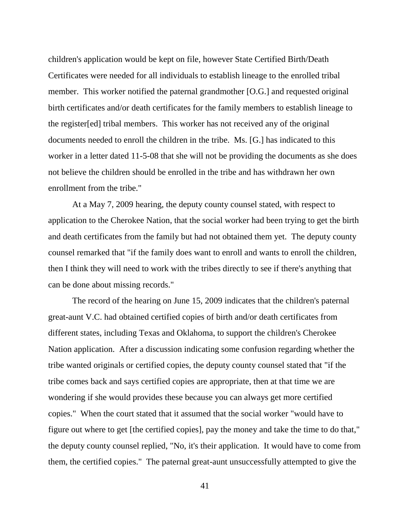children's application would be kept on file, however State Certified Birth/Death Certificates were needed for all individuals to establish lineage to the enrolled tribal member. This worker notified the paternal grandmother [O.G.] and requested original birth certificates and/or death certificates for the family members to establish lineage to the register[ed] tribal members. This worker has not received any of the original documents needed to enroll the children in the tribe. Ms. [G.] has indicated to this worker in a letter dated 11-5-08 that she will not be providing the documents as she does not believe the children should be enrolled in the tribe and has withdrawn her own enrollment from the tribe."

At a May 7, 2009 hearing, the deputy county counsel stated, with respect to application to the Cherokee Nation, that the social worker had been trying to get the birth and death certificates from the family but had not obtained them yet. The deputy county counsel remarked that "if the family does want to enroll and wants to enroll the children, then I think they will need to work with the tribes directly to see if there's anything that can be done about missing records."

The record of the hearing on June 15, 2009 indicates that the children's paternal great-aunt V.C. had obtained certified copies of birth and/or death certificates from different states, including Texas and Oklahoma, to support the children's Cherokee Nation application. After a discussion indicating some confusion regarding whether the tribe wanted originals or certified copies, the deputy county counsel stated that "if the tribe comes back and says certified copies are appropriate, then at that time we are wondering if she would provides these because you can always get more certified copies." When the court stated that it assumed that the social worker "would have to figure out where to get [the certified copies], pay the money and take the time to do that," the deputy county counsel replied, "No, it's their application. It would have to come from them, the certified copies." The paternal great-aunt unsuccessfully attempted to give the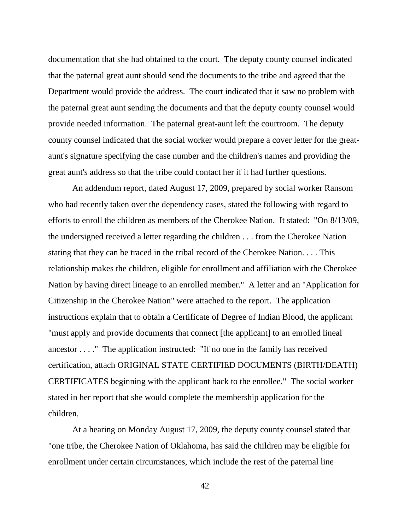documentation that she had obtained to the court. The deputy county counsel indicated that the paternal great aunt should send the documents to the tribe and agreed that the Department would provide the address. The court indicated that it saw no problem with the paternal great aunt sending the documents and that the deputy county counsel would provide needed information. The paternal great-aunt left the courtroom. The deputy county counsel indicated that the social worker would prepare a cover letter for the greataunt's signature specifying the case number and the children's names and providing the great aunt's address so that the tribe could contact her if it had further questions.

An addendum report, dated August 17, 2009, prepared by social worker Ransom who had recently taken over the dependency cases, stated the following with regard to efforts to enroll the children as members of the Cherokee Nation. It stated: "On 8/13/09, the undersigned received a letter regarding the children . . . from the Cherokee Nation stating that they can be traced in the tribal record of the Cherokee Nation. . . . This relationship makes the children, eligible for enrollment and affiliation with the Cherokee Nation by having direct lineage to an enrolled member." A letter and an "Application for Citizenship in the Cherokee Nation" were attached to the report. The application instructions explain that to obtain a Certificate of Degree of Indian Blood, the applicant "must apply and provide documents that connect [the applicant] to an enrolled lineal ancestor . . . ." The application instructed: "If no one in the family has received certification, attach ORIGINAL STATE CERTIFIED DOCUMENTS (BIRTH/DEATH) CERTIFICATES beginning with the applicant back to the enrollee." The social worker stated in her report that she would complete the membership application for the children.

At a hearing on Monday August 17, 2009, the deputy county counsel stated that "one tribe, the Cherokee Nation of Oklahoma, has said the children may be eligible for enrollment under certain circumstances, which include the rest of the paternal line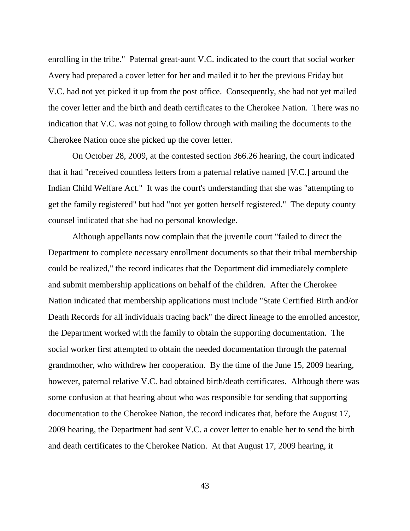enrolling in the tribe." Paternal great-aunt V.C. indicated to the court that social worker Avery had prepared a cover letter for her and mailed it to her the previous Friday but V.C. had not yet picked it up from the post office. Consequently, she had not yet mailed the cover letter and the birth and death certificates to the Cherokee Nation. There was no indication that V.C. was not going to follow through with mailing the documents to the Cherokee Nation once she picked up the cover letter.

On October 28, 2009, at the contested section 366.26 hearing, the court indicated that it had "received countless letters from a paternal relative named [V.C.] around the Indian Child Welfare Act." It was the court's understanding that she was "attempting to get the family registered" but had "not yet gotten herself registered." The deputy county counsel indicated that she had no personal knowledge.

Although appellants now complain that the juvenile court "failed to direct the Department to complete necessary enrollment documents so that their tribal membership could be realized," the record indicates that the Department did immediately complete and submit membership applications on behalf of the children. After the Cherokee Nation indicated that membership applications must include "State Certified Birth and/or Death Records for all individuals tracing back" the direct lineage to the enrolled ancestor, the Department worked with the family to obtain the supporting documentation. The social worker first attempted to obtain the needed documentation through the paternal grandmother, who withdrew her cooperation. By the time of the June 15, 2009 hearing, however, paternal relative V.C. had obtained birth/death certificates. Although there was some confusion at that hearing about who was responsible for sending that supporting documentation to the Cherokee Nation, the record indicates that, before the August 17, 2009 hearing, the Department had sent V.C. a cover letter to enable her to send the birth and death certificates to the Cherokee Nation. At that August 17, 2009 hearing, it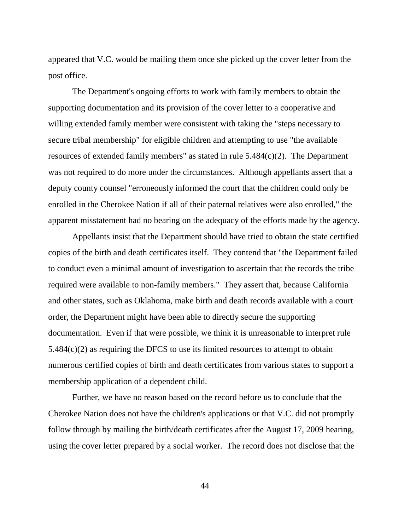appeared that V.C. would be mailing them once she picked up the cover letter from the post office.

The Department's ongoing efforts to work with family members to obtain the supporting documentation and its provision of the cover letter to a cooperative and willing extended family member were consistent with taking the "steps necessary to secure tribal membership" for eligible children and attempting to use "the available resources of extended family members" as stated in rule 5.484(c)(2). The Department was not required to do more under the circumstances. Although appellants assert that a deputy county counsel "erroneously informed the court that the children could only be enrolled in the Cherokee Nation if all of their paternal relatives were also enrolled," the apparent misstatement had no bearing on the adequacy of the efforts made by the agency.

Appellants insist that the Department should have tried to obtain the state certified copies of the birth and death certificates itself. They contend that "the Department failed to conduct even a minimal amount of investigation to ascertain that the records the tribe required were available to non-family members." They assert that, because California and other states, such as Oklahoma, make birth and death records available with a court order, the Department might have been able to directly secure the supporting documentation. Even if that were possible, we think it is unreasonable to interpret rule 5.484(c)(2) as requiring the DFCS to use its limited resources to attempt to obtain numerous certified copies of birth and death certificates from various states to support a membership application of a dependent child.

Further, we have no reason based on the record before us to conclude that the Cherokee Nation does not have the children's applications or that V.C. did not promptly follow through by mailing the birth/death certificates after the August 17, 2009 hearing, using the cover letter prepared by a social worker. The record does not disclose that the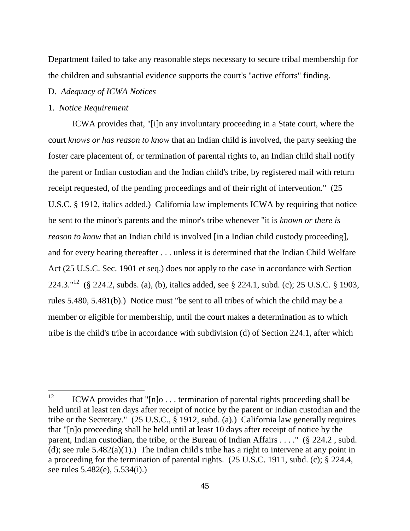Department failed to take any reasonable steps necessary to secure tribal membership for the children and substantial evidence supports the court's "active efforts" finding.

#### D. *Adequacy of ICWA Notices*

### 1. *Notice Requirement*

ICWA provides that, "[i]n any involuntary proceeding in a State court, where the court *knows or has reason to know* that an Indian child is involved, the party seeking the foster care placement of, or termination of parental rights to, an Indian child shall notify the parent or Indian custodian and the Indian child's tribe, by registered mail with return receipt requested, of the pending proceedings and of their right of intervention." (25 U.S.C. § 1912, italics added.) California law implements ICWA by requiring that notice be sent to the minor's parents and the minor's tribe whenever "it is *known or there is reason to know* that an Indian child is involved [in a Indian child custody proceeding], and for every hearing thereafter . . . unless it is determined that the Indian Child Welfare Act (25 U.S.C. Sec. 1901 et seq.) does not apply to the case in accordance with Section 224.3."<sup>12</sup> (§ 224.2, subds. (a), (b), italics added, see § 224.1, subd. (c); 25 U.S.C. § 1903, rules 5.480, 5.481(b).) Notice must "be sent to all tribes of which the child may be a member or eligible for membership, until the court makes a determination as to which tribe is the child's tribe in accordance with subdivision (d) of Section 224.1, after which

<sup>12</sup> <sup>12</sup> ICWA provides that "[n]o . . . termination of parental rights proceeding shall be held until at least ten days after receipt of notice by the parent or Indian custodian and the tribe or the Secretary." (25 U.S.C., § 1912, subd. (a).) California law generally requires that "[n]o proceeding shall be held until at least 10 days after receipt of notice by the parent, Indian custodian, the tribe, or the Bureau of Indian Affairs . . . ." (§ 224.2 , subd. (d); see rule  $5.482(a)(1)$ .) The Indian child's tribe has a right to intervene at any point in a proceeding for the termination of parental rights. (25 U.S.C. 1911, subd. (c); § 224.4, see rules 5.482(e), 5.534(i).)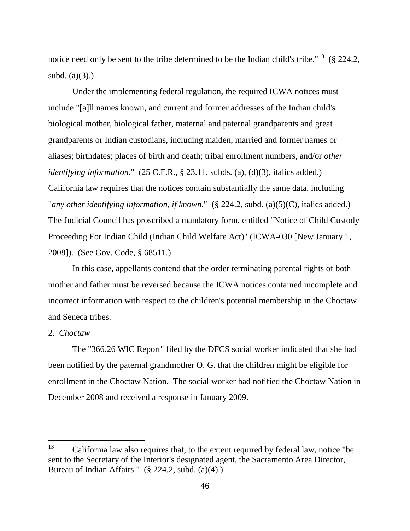notice need only be sent to the tribe determined to be the Indian child's tribe."<sup>13</sup> (§ 224.2, subd.  $(a)(3)$ .)

Under the implementing federal regulation, the required ICWA notices must include "[a]ll names known, and current and former addresses of the Indian child's biological mother, biological father, maternal and paternal grandparents and great grandparents or Indian custodians, including maiden, married and former names or aliases; birthdates; places of birth and death; tribal enrollment numbers, and/or *other identifying information*." (25 C.F.R., § 23.11, subds. (a), (d)(3), italics added.) California law requires that the notices contain substantially the same data, including "*any other identifying information, if known*." (§ 224.2, subd. (a)(5)(C), italics added.) The Judicial Council has proscribed a mandatory form, entitled "Notice of Child Custody Proceeding For Indian Child (Indian Child Welfare Act)" (ICWA-030 [New January 1, 2008]). (See Gov. Code, § 68511.)

In this case, appellants contend that the order terminating parental rights of both mother and father must be reversed because the ICWA notices contained incomplete and incorrect information with respect to the children's potential membership in the Choctaw and Seneca tribes.

# 2. *Choctaw*

The "366.26 WIC Report" filed by the DFCS social worker indicated that she had been notified by the paternal grandmother O. G. that the children might be eligible for enrollment in the Choctaw Nation. The social worker had notified the Choctaw Nation in December 2008 and received a response in January 2009.

<sup>13</sup> California law also requires that, to the extent required by federal law, notice "be sent to the Secretary of the Interior's designated agent, the Sacramento Area Director, Bureau of Indian Affairs." (§ 224.2, subd. (a)(4).)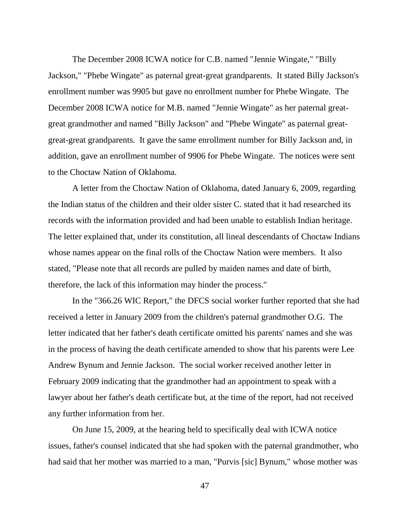The December 2008 ICWA notice for C.B. named "Jennie Wingate," "Billy Jackson," "Phebe Wingate" as paternal great-great grandparents. It stated Billy Jackson's enrollment number was 9905 but gave no enrollment number for Phebe Wingate. The December 2008 ICWA notice for M.B. named "Jennie Wingate" as her paternal greatgreat grandmother and named "Billy Jackson" and "Phebe Wingate" as paternal greatgreat-great grandparents. It gave the same enrollment number for Billy Jackson and, in addition, gave an enrollment number of 9906 for Phebe Wingate. The notices were sent to the Choctaw Nation of Oklahoma.

A letter from the Choctaw Nation of Oklahoma, dated January 6, 2009, regarding the Indian status of the children and their older sister C. stated that it had researched its records with the information provided and had been unable to establish Indian heritage. The letter explained that, under its constitution, all lineal descendants of Choctaw Indians whose names appear on the final rolls of the Choctaw Nation were members. It also stated, "Please note that all records are pulled by maiden names and date of birth, therefore, the lack of this information may hinder the process."

In the "366.26 WIC Report," the DFCS social worker further reported that she had received a letter in January 2009 from the children's paternal grandmother O.G. The letter indicated that her father's death certificate omitted his parents' names and she was in the process of having the death certificate amended to show that his parents were Lee Andrew Bynum and Jennie Jackson. The social worker received another letter in February 2009 indicating that the grandmother had an appointment to speak with a lawyer about her father's death certificate but, at the time of the report, had not received any further information from her.

On June 15, 2009, at the hearing held to specifically deal with ICWA notice issues, father's counsel indicated that she had spoken with the paternal grandmother, who had said that her mother was married to a man, "Purvis [sic] Bynum," whose mother was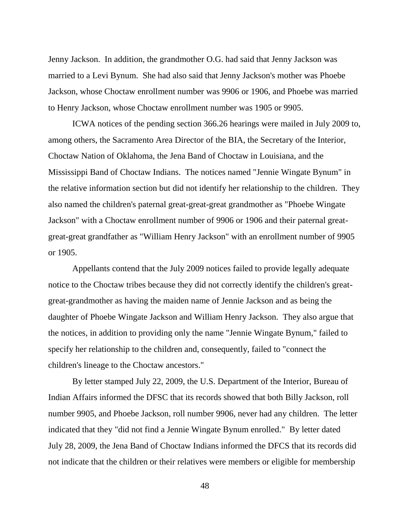Jenny Jackson. In addition, the grandmother O.G. had said that Jenny Jackson was married to a Levi Bynum. She had also said that Jenny Jackson's mother was Phoebe Jackson, whose Choctaw enrollment number was 9906 or 1906, and Phoebe was married to Henry Jackson, whose Choctaw enrollment number was 1905 or 9905.

ICWA notices of the pending section 366.26 hearings were mailed in July 2009 to, among others, the Sacramento Area Director of the BIA, the Secretary of the Interior, Choctaw Nation of Oklahoma, the Jena Band of Choctaw in Louisiana, and the Mississippi Band of Choctaw Indians. The notices named "Jennie Wingate Bynum" in the relative information section but did not identify her relationship to the children. They also named the children's paternal great-great-great grandmother as "Phoebe Wingate Jackson" with a Choctaw enrollment number of 9906 or 1906 and their paternal greatgreat-great grandfather as "William Henry Jackson" with an enrollment number of 9905 or 1905.

Appellants contend that the July 2009 notices failed to provide legally adequate notice to the Choctaw tribes because they did not correctly identify the children's greatgreat-grandmother as having the maiden name of Jennie Jackson and as being the daughter of Phoebe Wingate Jackson and William Henry Jackson. They also argue that the notices, in addition to providing only the name "Jennie Wingate Bynum," failed to specify her relationship to the children and, consequently, failed to "connect the children's lineage to the Choctaw ancestors."

By letter stamped July 22, 2009, the U.S. Department of the Interior, Bureau of Indian Affairs informed the DFSC that its records showed that both Billy Jackson, roll number 9905, and Phoebe Jackson, roll number 9906, never had any children. The letter indicated that they "did not find a Jennie Wingate Bynum enrolled." By letter dated July 28, 2009, the Jena Band of Choctaw Indians informed the DFCS that its records did not indicate that the children or their relatives were members or eligible for membership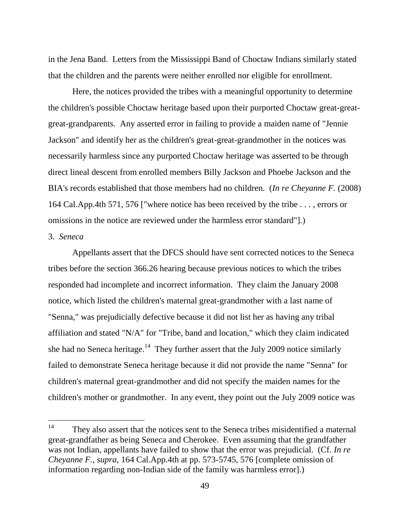in the Jena Band. Letters from the Mississippi Band of Choctaw Indians similarly stated that the children and the parents were neither enrolled nor eligible for enrollment.

Here, the notices provided the tribes with a meaningful opportunity to determine the children's possible Choctaw heritage based upon their purported Choctaw great-greatgreat-grandparents. Any asserted error in failing to provide a maiden name of "Jennie Jackson" and identify her as the children's great-great-grandmother in the notices was necessarily harmless since any purported Choctaw heritage was asserted to be through direct lineal descent from enrolled members Billy Jackson and Phoebe Jackson and the BIA's records established that those members had no children. (*In re Cheyanne F.* (2008) 164 Cal.App.4th 571, 576 ["where notice has been received by the tribe . . . , errors or omissions in the notice are reviewed under the harmless error standard"].)

### 3. *Seneca*

Appellants assert that the DFCS should have sent corrected notices to the Seneca tribes before the section 366.26 hearing because previous notices to which the tribes responded had incomplete and incorrect information. They claim the January 2008 notice, which listed the children's maternal great-grandmother with a last name of "Senna," was prejudicially defective because it did not list her as having any tribal affiliation and stated "N/A" for "Tribe, band and location," which they claim indicated she had no Seneca heritage.<sup>14</sup> They further assert that the July 2009 notice similarly failed to demonstrate Seneca heritage because it did not provide the name "Senna" for children's maternal great-grandmother and did not specify the maiden names for the children's mother or grandmother. In any event, they point out the July 2009 notice was

<sup>&</sup>lt;sup>14</sup> They also assert that the notices sent to the Seneca tribes misidentified a maternal great-grandfather as being Seneca and Cherokee. Even assuming that the grandfather was not Indian, appellants have failed to show that the error was prejudicial. (Cf. *In re Cheyanne F., supra,* 164 Cal.App.4th at pp. 573-5745, 576 [complete omission of information regarding non-Indian side of the family was harmless error].)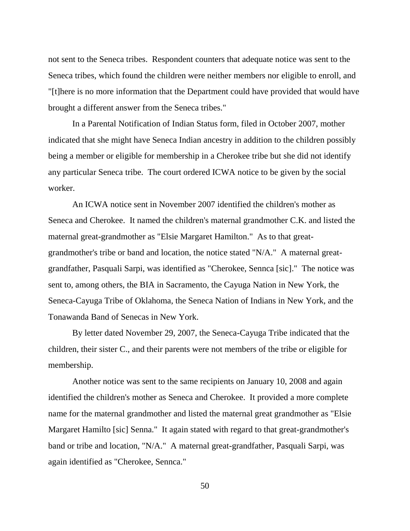not sent to the Seneca tribes. Respondent counters that adequate notice was sent to the Seneca tribes, which found the children were neither members nor eligible to enroll, and "[t]here is no more information that the Department could have provided that would have brought a different answer from the Seneca tribes."

In a Parental Notification of Indian Status form, filed in October 2007, mother indicated that she might have Seneca Indian ancestry in addition to the children possibly being a member or eligible for membership in a Cherokee tribe but she did not identify any particular Seneca tribe. The court ordered ICWA notice to be given by the social worker.

An ICWA notice sent in November 2007 identified the children's mother as Seneca and Cherokee. It named the children's maternal grandmother C.K. and listed the maternal great-grandmother as "Elsie Margaret Hamilton." As to that greatgrandmother's tribe or band and location, the notice stated "N/A." A maternal greatgrandfather, Pasquali Sarpi, was identified as "Cherokee, Sennca [sic]." The notice was sent to, among others, the BIA in Sacramento, the Cayuga Nation in New York, the Seneca-Cayuga Tribe of Oklahoma, the Seneca Nation of Indians in New York, and the Tonawanda Band of Senecas in New York.

By letter dated November 29, 2007, the Seneca-Cayuga Tribe indicated that the children, their sister C., and their parents were not members of the tribe or eligible for membership.

Another notice was sent to the same recipients on January 10, 2008 and again identified the children's mother as Seneca and Cherokee. It provided a more complete name for the maternal grandmother and listed the maternal great grandmother as "Elsie Margaret Hamilto [sic] Senna." It again stated with regard to that great-grandmother's band or tribe and location, "N/A." A maternal great-grandfather, Pasquali Sarpi, was again identified as "Cherokee, Sennca."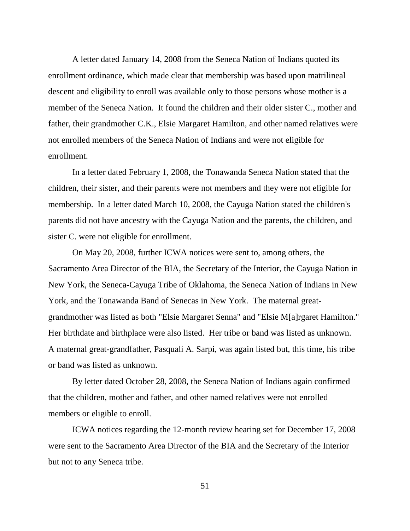A letter dated January 14, 2008 from the Seneca Nation of Indians quoted its enrollment ordinance, which made clear that membership was based upon matrilineal descent and eligibility to enroll was available only to those persons whose mother is a member of the Seneca Nation. It found the children and their older sister C., mother and father, their grandmother C.K., Elsie Margaret Hamilton, and other named relatives were not enrolled members of the Seneca Nation of Indians and were not eligible for enrollment.

In a letter dated February 1, 2008, the Tonawanda Seneca Nation stated that the children, their sister, and their parents were not members and they were not eligible for membership. In a letter dated March 10, 2008, the Cayuga Nation stated the children's parents did not have ancestry with the Cayuga Nation and the parents, the children, and sister C. were not eligible for enrollment.

On May 20, 2008, further ICWA notices were sent to, among others, the Sacramento Area Director of the BIA, the Secretary of the Interior, the Cayuga Nation in New York, the Seneca-Cayuga Tribe of Oklahoma, the Seneca Nation of Indians in New York, and the Tonawanda Band of Senecas in New York. The maternal greatgrandmother was listed as both "Elsie Margaret Senna" and "Elsie M[a]rgaret Hamilton." Her birthdate and birthplace were also listed. Her tribe or band was listed as unknown. A maternal great-grandfather, Pasquali A. Sarpi, was again listed but, this time, his tribe or band was listed as unknown.

By letter dated October 28, 2008, the Seneca Nation of Indians again confirmed that the children, mother and father, and other named relatives were not enrolled members or eligible to enroll.

ICWA notices regarding the 12-month review hearing set for December 17, 2008 were sent to the Sacramento Area Director of the BIA and the Secretary of the Interior but not to any Seneca tribe.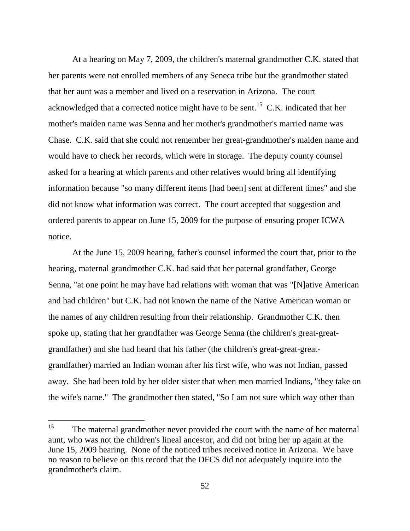At a hearing on May 7, 2009, the children's maternal grandmother C.K. stated that her parents were not enrolled members of any Seneca tribe but the grandmother stated that her aunt was a member and lived on a reservation in Arizona. The court acknowledged that a corrected notice might have to be sent.<sup>15</sup> C.K. indicated that her mother's maiden name was Senna and her mother's grandmother's married name was Chase. C.K. said that she could not remember her great-grandmother's maiden name and would have to check her records, which were in storage. The deputy county counsel asked for a hearing at which parents and other relatives would bring all identifying information because "so many different items [had been] sent at different times" and she did not know what information was correct. The court accepted that suggestion and ordered parents to appear on June 15, 2009 for the purpose of ensuring proper ICWA notice.

At the June 15, 2009 hearing, father's counsel informed the court that, prior to the hearing, maternal grandmother C.K. had said that her paternal grandfather, George Senna, "at one point he may have had relations with woman that was "[N]ative American and had children" but C.K. had not known the name of the Native American woman or the names of any children resulting from their relationship. Grandmother C.K. then spoke up, stating that her grandfather was George Senna (the children's great-greatgrandfather) and she had heard that his father (the children's great-great-greatgrandfather) married an Indian woman after his first wife, who was not Indian, passed away. She had been told by her older sister that when men married Indians, "they take on the wife's name." The grandmother then stated, "So I am not sure which way other than

<sup>&</sup>lt;sup>15</sup> The maternal grandmother never provided the court with the name of her maternal aunt, who was not the children's lineal ancestor, and did not bring her up again at the June 15, 2009 hearing. None of the noticed tribes received notice in Arizona. We have no reason to believe on this record that the DFCS did not adequately inquire into the grandmother's claim.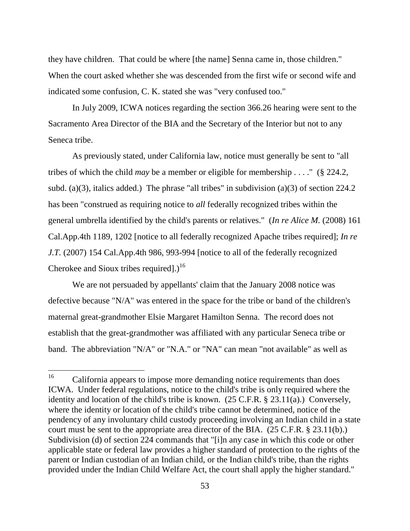they have children. That could be where [the name] Senna came in, those children." When the court asked whether she was descended from the first wife or second wife and indicated some confusion, C. K. stated she was "very confused too."

In July 2009, ICWA notices regarding the section 366.26 hearing were sent to the Sacramento Area Director of the BIA and the Secretary of the Interior but not to any Seneca tribe.

As previously stated, under California law, notice must generally be sent to "all tribes of which the child *may* be a member or eligible for membership . . . ." (§ 224.2, subd. (a)(3), italics added.) The phrase "all tribes" in subdivision (a)(3) of section  $224.2$ has been "construed as requiring notice to *all* federally recognized tribes within the general umbrella identified by the child's parents or relatives." (*In re Alice M.* (2008) 161 Cal.App.4th 1189, 1202 [notice to all federally recognized Apache tribes required]; *In re J.T.* (2007) 154 Cal.App.4th 986, 993-994 [notice to all of the federally recognized Cherokee and Sioux tribes required]. $1^{16}$ 

We are not persuaded by appellants' claim that the January 2008 notice was defective because "N/A" was entered in the space for the tribe or band of the children's maternal great-grandmother Elsie Margaret Hamilton Senna. The record does not establish that the great-grandmother was affiliated with any particular Seneca tribe or band. The abbreviation "N/A" or "N.A." or "NA" can mean "not available" as well as

<sup>16</sup> California appears to impose more demanding notice requirements than does ICWA. Under federal regulations, notice to the child's tribe is only required where the identity and location of the child's tribe is known. (25 C.F.R. § 23.11(a).) Conversely, where the identity or location of the child's tribe cannot be determined, notice of the pendency of any involuntary child custody proceeding involving an Indian child in a state court must be sent to the appropriate area director of the BIA. (25 C.F.R. § 23.11(b).) Subdivision (d) of section 224 commands that "[i]n any case in which this code or other applicable state or federal law provides a higher standard of protection to the rights of the parent or Indian custodian of an Indian child, or the Indian child's tribe, than the rights provided under the Indian Child Welfare Act, the court shall apply the higher standard."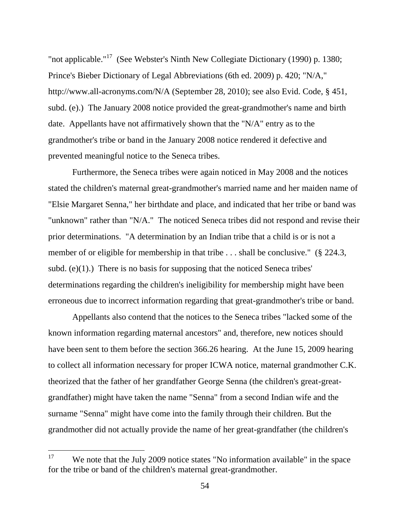"not applicable."<sup>17</sup> (See Webster's Ninth New Collegiate Dictionary (1990) p. 1380; Prince's Bieber Dictionary of Legal Abbreviations (6th ed. 2009) p. 420; "N/A," http://www.all-acronyms.com/N/A (September 28, 2010); see also Evid. Code, § 451, subd. (e).) The January 2008 notice provided the great-grandmother's name and birth date. Appellants have not affirmatively shown that the "N/A" entry as to the grandmother's tribe or band in the January 2008 notice rendered it defective and prevented meaningful notice to the Seneca tribes.

Furthermore, the Seneca tribes were again noticed in May 2008 and the notices stated the children's maternal great-grandmother's married name and her maiden name of "Elsie Margaret Senna," her birthdate and place, and indicated that her tribe or band was "unknown" rather than "N/A." The noticed Seneca tribes did not respond and revise their prior determinations. "A determination by an Indian tribe that a child is or is not a member of or eligible for membership in that tribe ... shall be conclusive." (§ 224.3, subd.  $(e)(1)$ .) There is no basis for supposing that the noticed Seneca tribes' determinations regarding the children's ineligibility for membership might have been erroneous due to incorrect information regarding that great-grandmother's tribe or band.

Appellants also contend that the notices to the Seneca tribes "lacked some of the known information regarding maternal ancestors" and, therefore, new notices should have been sent to them before the section 366.26 hearing. At the June 15, 2009 hearing to collect all information necessary for proper ICWA notice, maternal grandmother C.K. theorized that the father of her grandfather George Senna (the children's great-greatgrandfather) might have taken the name "Senna" from a second Indian wife and the surname "Senna" might have come into the family through their children. But the grandmother did not actually provide the name of her great-grandfather (the children's

<sup>17</sup> We note that the July 2009 notice states "No information available" in the space for the tribe or band of the children's maternal great-grandmother.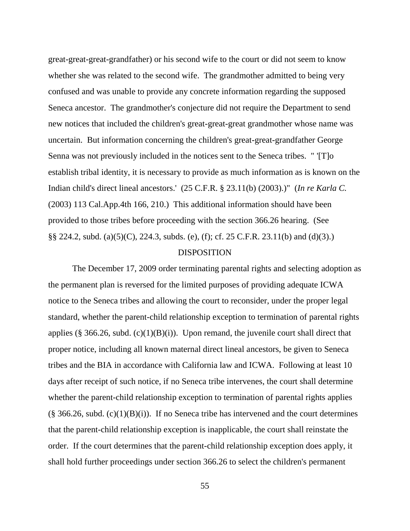great-great-great-grandfather) or his second wife to the court or did not seem to know whether she was related to the second wife. The grandmother admitted to being very confused and was unable to provide any concrete information regarding the supposed Seneca ancestor. The grandmother's conjecture did not require the Department to send new notices that included the children's great-great-great grandmother whose name was uncertain. But information concerning the children's great-great-grandfather George Senna was not previously included in the notices sent to the Seneca tribes. " '[T]o establish tribal identity, it is necessary to provide as much information as is known on the Indian child's direct lineal ancestors.' (25 C.F.R. § 23.11(b) (2003).)" (*In re Karla C.* (2003) 113 Cal.App.4th 166, 210.) This additional information should have been provided to those tribes before proceeding with the section 366.26 hearing. (See §§ 224.2, subd. (a)(5)(C), 224.3, subds. (e), (f); cf. 25 C.F.R. 23.11(b) and (d)(3).)

#### DISPOSITION

The December 17, 2009 order terminating parental rights and selecting adoption as the permanent plan is reversed for the limited purposes of providing adequate ICWA notice to the Seneca tribes and allowing the court to reconsider, under the proper legal standard, whether the parent-child relationship exception to termination of parental rights applies (§ 366.26, subd.  $(c)(1)(B)(i)$ ). Upon remand, the juvenile court shall direct that proper notice, including all known maternal direct lineal ancestors, be given to Seneca tribes and the BIA in accordance with California law and ICWA. Following at least 10 days after receipt of such notice, if no Seneca tribe intervenes, the court shall determine whether the parent-child relationship exception to termination of parental rights applies  $(\S$  366.26, subd.  $(c)(1)(B)(i)$ . If no Seneca tribe has intervened and the court determines that the parent-child relationship exception is inapplicable, the court shall reinstate the order. If the court determines that the parent-child relationship exception does apply, it shall hold further proceedings under section 366.26 to select the children's permanent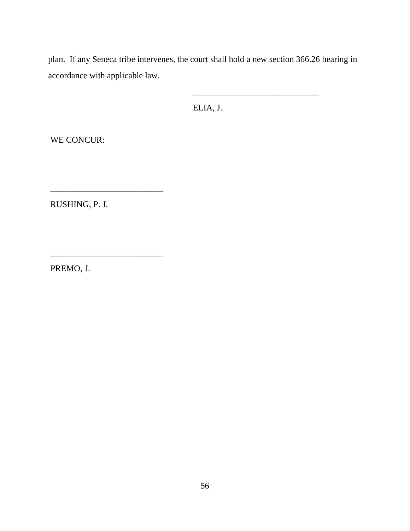plan. If any Seneca tribe intervenes, the court shall hold a new section 366.26 hearing in accordance with applicable law.

ELIA, J.

\_\_\_\_\_\_\_\_\_\_\_\_\_\_\_\_\_\_\_\_\_\_\_\_\_\_\_\_\_

WE CONCUR:

RUSHING, P. J.

\_\_\_\_\_\_\_\_\_\_\_\_\_\_\_\_\_\_\_\_\_\_\_\_\_\_

\_\_\_\_\_\_\_\_\_\_\_\_\_\_\_\_\_\_\_\_\_\_\_\_\_\_

PREMO, J.